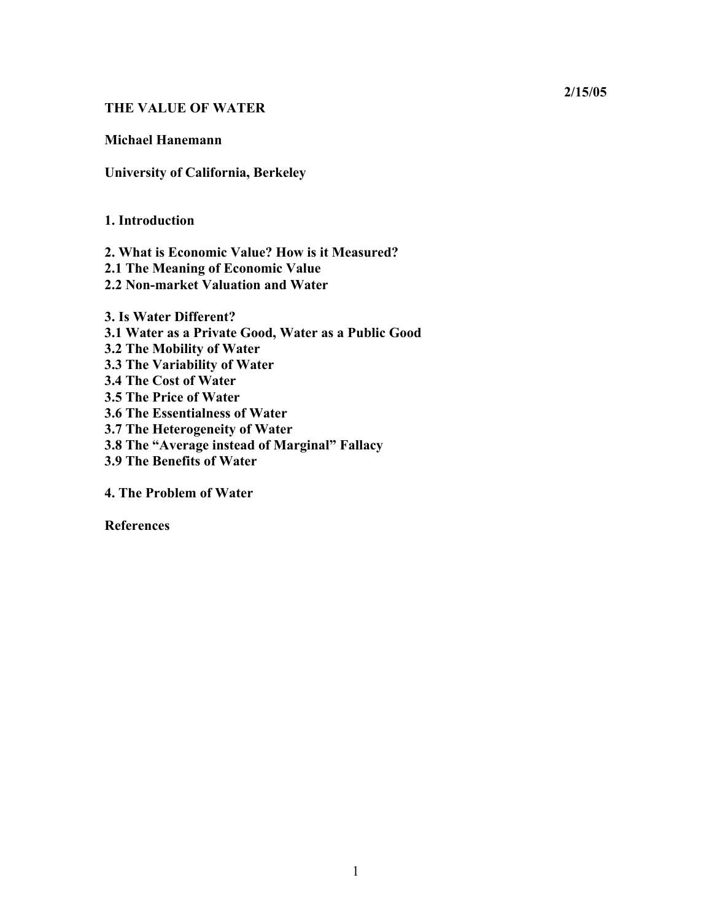### **THE VALUE OF WATER**

#### **Michael Hanemann**

**University of California, Berkeley** 

**1. Introduction** 

**2. What is Economic Value? How is it Measured?** 

- **2.1 The Meaning of Economic Value**
- **2.2 Non-market Valuation and Water**
- **3. Is Water Different? 3.1 Water as a Private Good, Water as a Public Good 3.2 The Mobility of Water 3.3 The Variability of Water 3.4 The Cost of Water 3.5 The Price of Water 3.6 The Essentialness of Water 3.7 The Heterogeneity of Water 3.8 The "Average instead of Marginal" Fallacy 3.9 The Benefits of Water**

**4. The Problem of Water** 

**References**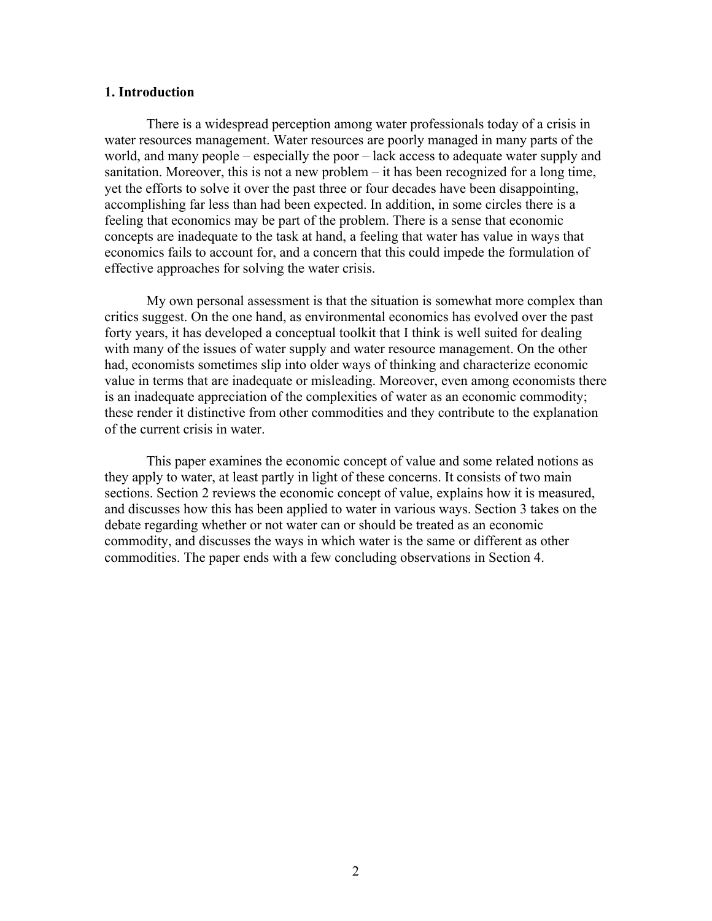#### **1. Introduction**

 There is a widespread perception among water professionals today of a crisis in water resources management. Water resources are poorly managed in many parts of the world, and many people – especially the poor – lack access to adequate water supply and sanitation. Moreover, this is not a new problem – it has been recognized for a long time, yet the efforts to solve it over the past three or four decades have been disappointing, accomplishing far less than had been expected. In addition, in some circles there is a feeling that economics may be part of the problem. There is a sense that economic concepts are inadequate to the task at hand, a feeling that water has value in ways that economics fails to account for, and a concern that this could impede the formulation of effective approaches for solving the water crisis.

My own personal assessment is that the situation is somewhat more complex than critics suggest. On the one hand, as environmental economics has evolved over the past forty years, it has developed a conceptual toolkit that I think is well suited for dealing with many of the issues of water supply and water resource management. On the other had, economists sometimes slip into older ways of thinking and characterize economic value in terms that are inadequate or misleading. Moreover, even among economists there is an inadequate appreciation of the complexities of water as an economic commodity; these render it distinctive from other commodities and they contribute to the explanation of the current crisis in water.

This paper examines the economic concept of value and some related notions as they apply to water, at least partly in light of these concerns. It consists of two main sections. Section 2 reviews the economic concept of value, explains how it is measured, and discusses how this has been applied to water in various ways. Section 3 takes on the debate regarding whether or not water can or should be treated as an economic commodity, and discusses the ways in which water is the same or different as other commodities. The paper ends with a few concluding observations in Section 4.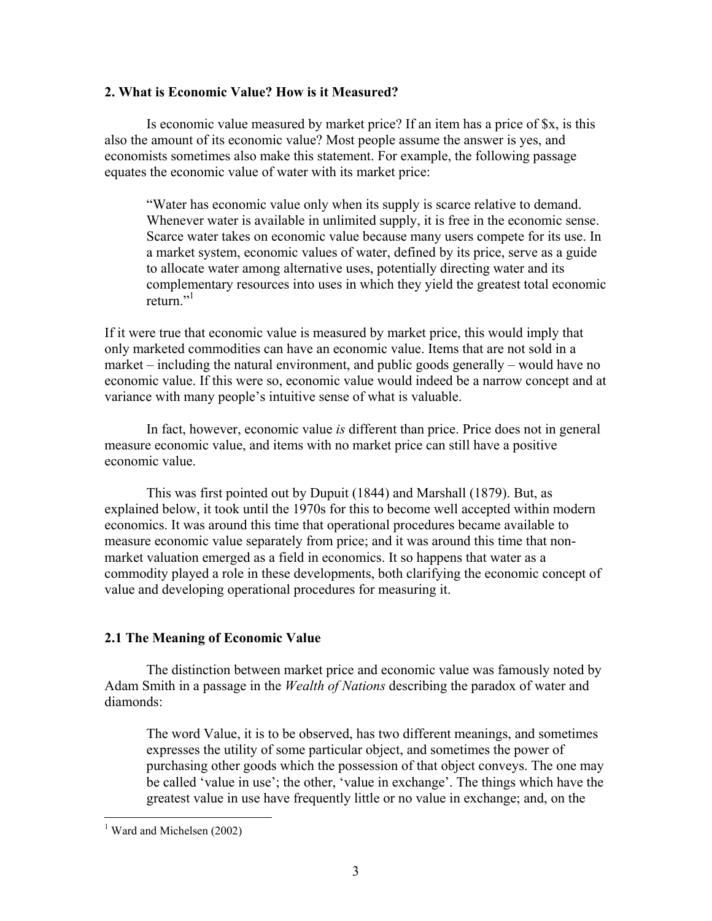### **2. What is Economic Value? How is it Measured?**

 Is economic value measured by market price? If an item has a price of \$x, is this also the amount of its economic value? Most people assume the answer is yes, and economists sometimes also make this statement. For example, the following passage equates the economic value of water with its market price:

"Water has economic value only when its supply is scarce relative to demand. Whenever water is available in unlimited supply, it is free in the economic sense. Scarce water takes on economic value because many users compete for its use. In a market system, economic values of water, defined by its price, serve as a guide to allocate water among alternative uses, potentially directing water and its complementary resources into uses in which they yield the greatest total economic return." $\frac{1}{1}$ 

If it were true that economic value is measured by market price, this would imply that only marketed commodities can have an economic value. Items that are not sold in a market – including the natural environment, and public goods generally – would have no economic value. If this were so, economic value would indeed be a narrow concept and at variance with many people's intuitive sense of what is valuable.

In fact, however, economic value *is* different than price. Price does not in general measure economic value, and items with no market price can still have a positive economic value.

This was first pointed out by Dupuit (1844) and Marshall (1879). But, as explained below, it took until the 1970s for this to become well accepted within modern economics. It was around this time that operational procedures became available to measure economic value separately from price; and it was around this time that nonmarket valuation emerged as a field in economics. It so happens that water as a commodity played a role in these developments, both clarifying the economic concept of value and developing operational procedures for measuring it.

# **2.1 The Meaning of Economic Value**

 The distinction between market price and economic value was famously noted by Adam Smith in a passage in the *Wealth of Nations* describing the paradox of water and diamonds:

The word Value, it is to be observed, has two different meanings, and sometimes expresses the utility of some particular object, and sometimes the power of purchasing other goods which the possession of that object conveys. The one may be called 'value in use'; the other, 'value in exchange'. The things which have the greatest value in use have frequently little or no value in exchange; and, on the

<u>.</u>

<sup>&</sup>lt;sup>1</sup> Ward and Michelsen (2002)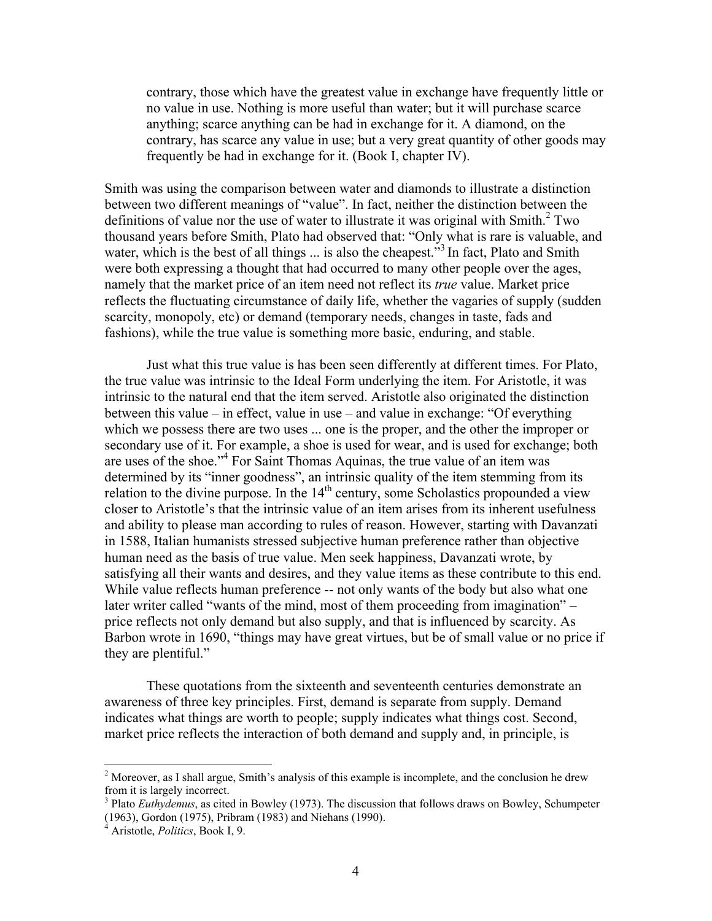contrary, those which have the greatest value in exchange have frequently little or no value in use. Nothing is more useful than water; but it will purchase scarce anything; scarce anything can be had in exchange for it. A diamond, on the contrary, has scarce any value in use; but a very great quantity of other goods may frequently be had in exchange for it. (Book I, chapter IV).

Smith was using the comparison between water and diamonds to illustrate a distinction between two different meanings of "value". In fact, neither the distinction between the definitions of value nor the use of water to illustrate it was original with Smith.<sup>2</sup> Two thousand years before Smith, Plato had observed that: "Only what is rare is valuable, and water, which is the best of all things ... is also the cheapest.<sup>53</sup> In fact, Plato and Smith were both expressing a thought that had occurred to many other people over the ages, namely that the market price of an item need not reflect its *true* value. Market price reflects the fluctuating circumstance of daily life, whether the vagaries of supply (sudden scarcity, monopoly, etc) or demand (temporary needs, changes in taste, fads and fashions), while the true value is something more basic, enduring, and stable.

Just what this true value is has been seen differently at different times. For Plato, the true value was intrinsic to the Ideal Form underlying the item. For Aristotle, it was intrinsic to the natural end that the item served. Aristotle also originated the distinction between this value – in effect, value in use – and value in exchange: "Of everything which we possess there are two uses ... one is the proper, and the other the improper or secondary use of it. For example, a shoe is used for wear, and is used for exchange; both are uses of the shoe."<sup>4</sup> For Saint Thomas Aquinas, the true value of an item was determined by its "inner goodness", an intrinsic quality of the item stemming from its relation to the divine purpose. In the  $14<sup>th</sup>$  century, some Scholastics propounded a view closer to Aristotle's that the intrinsic value of an item arises from its inherent usefulness and ability to please man according to rules of reason. However, starting with Davanzati in 1588, Italian humanists stressed subjective human preference rather than objective human need as the basis of true value. Men seek happiness, Davanzati wrote, by satisfying all their wants and desires, and they value items as these contribute to this end. While value reflects human preference -- not only wants of the body but also what one later writer called "wants of the mind, most of them proceeding from imagination" – price reflects not only demand but also supply, and that is influenced by scarcity. As Barbon wrote in 1690, "things may have great virtues, but be of small value or no price if they are plentiful."

These quotations from the sixteenth and seventeenth centuries demonstrate an awareness of three key principles. First, demand is separate from supply. Demand indicates what things are worth to people; supply indicates what things cost. Second, market price reflects the interaction of both demand and supply and, in principle, is

<sup>&</sup>lt;sup>2</sup> Moreover, as I shall argue, Smith's analysis of this example is incomplete, and the conclusion he drew from it is largely incorrect.

<sup>&</sup>lt;sup>3</sup> Plato *Euthydemus*, as cited in Bowley (1973). The discussion that follows draws on Bowley, Schumpeter (1963), Gordon (1975), Pribram (1983) and Niehans (1990).<br> $^{4}$  Aristotle, *Politics*, Pook J. 0.

Aristotle, *Politics*, Book I, 9.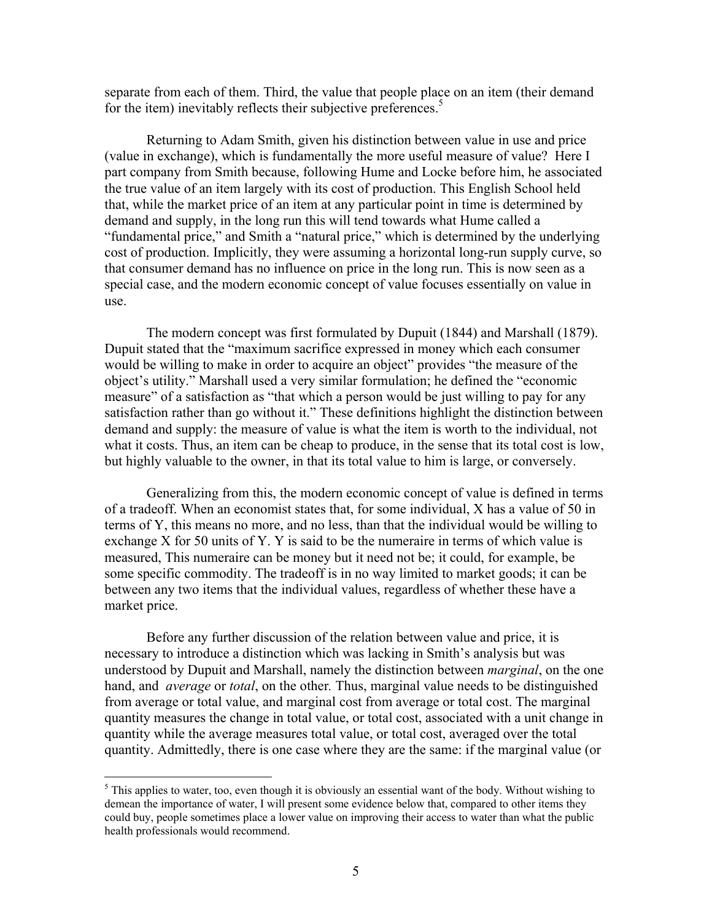separate from each of them. Third, the value that people place on an item (their demand for the item) inevitably reflects their subjective preferences.<sup>5</sup>

Returning to Adam Smith, given his distinction between value in use and price (value in exchange), which is fundamentally the more useful measure of value? Here I part company from Smith because, following Hume and Locke before him, he associated the true value of an item largely with its cost of production. This English School held that, while the market price of an item at any particular point in time is determined by demand and supply, in the long run this will tend towards what Hume called a "fundamental price," and Smith a "natural price," which is determined by the underlying cost of production. Implicitly, they were assuming a horizontal long-run supply curve, so that consumer demand has no influence on price in the long run. This is now seen as a special case, and the modern economic concept of value focuses essentially on value in use.

The modern concept was first formulated by Dupuit (1844) and Marshall (1879). Dupuit stated that the "maximum sacrifice expressed in money which each consumer would be willing to make in order to acquire an object" provides "the measure of the object's utility." Marshall used a very similar formulation; he defined the "economic measure" of a satisfaction as "that which a person would be just willing to pay for any satisfaction rather than go without it." These definitions highlight the distinction between demand and supply: the measure of value is what the item is worth to the individual, not what it costs. Thus, an item can be cheap to produce, in the sense that its total cost is low, but highly valuable to the owner, in that its total value to him is large, or conversely.

Generalizing from this, the modern economic concept of value is defined in terms of a tradeoff. When an economist states that, for some individual, X has a value of 50 in terms of Y, this means no more, and no less, than that the individual would be willing to exchange X for 50 units of Y. Y is said to be the numeraire in terms of which value is measured, This numeraire can be money but it need not be; it could, for example, be some specific commodity. The tradeoff is in no way limited to market goods; it can be between any two items that the individual values, regardless of whether these have a market price.

Before any further discussion of the relation between value and price, it is necessary to introduce a distinction which was lacking in Smith's analysis but was understood by Dupuit and Marshall, namely the distinction between *marginal*, on the one hand, and *average* or *total*, on the other*.* Thus, marginal value needs to be distinguished from average or total value, and marginal cost from average or total cost. The marginal quantity measures the change in total value, or total cost, associated with a unit change in quantity while the average measures total value, or total cost, averaged over the total quantity. Admittedly, there is one case where they are the same: if the marginal value (or

 $<sup>5</sup>$  This applies to water, too, even though it is obviously an essential want of the body. Without wishing to</sup> demean the importance of water, I will present some evidence below that, compared to other items they could buy, people sometimes place a lower value on improving their access to water than what the public health professionals would recommend.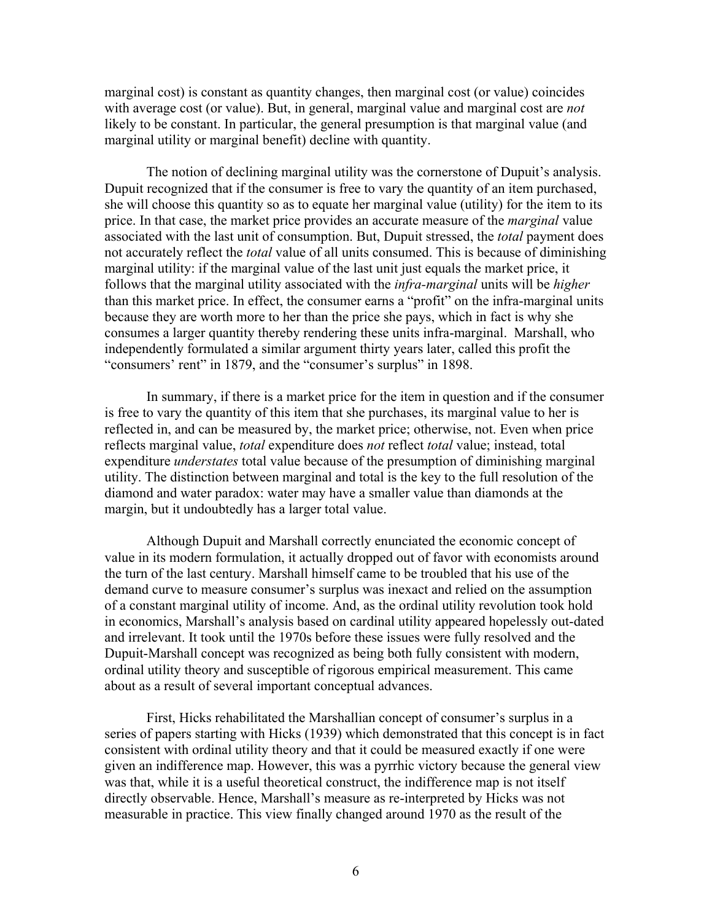marginal cost) is constant as quantity changes, then marginal cost (or value) coincides with average cost (or value). But, in general, marginal value and marginal cost are *not* likely to be constant. In particular, the general presumption is that marginal value (and marginal utility or marginal benefit) decline with quantity.

The notion of declining marginal utility was the cornerstone of Dupuit's analysis. Dupuit recognized that if the consumer is free to vary the quantity of an item purchased, she will choose this quantity so as to equate her marginal value (utility) for the item to its price. In that case, the market price provides an accurate measure of the *marginal* value associated with the last unit of consumption. But, Dupuit stressed, the *total* payment does not accurately reflect the *total* value of all units consumed. This is because of diminishing marginal utility: if the marginal value of the last unit just equals the market price, it follows that the marginal utility associated with the *infra-marginal* units will be *higher* than this market price. In effect, the consumer earns a "profit" on the infra-marginal units because they are worth more to her than the price she pays, which in fact is why she consumes a larger quantity thereby rendering these units infra-marginal. Marshall, who independently formulated a similar argument thirty years later, called this profit the "consumers' rent" in 1879, and the "consumer's surplus" in 1898.

In summary, if there is a market price for the item in question and if the consumer is free to vary the quantity of this item that she purchases, its marginal value to her is reflected in, and can be measured by, the market price; otherwise, not. Even when price reflects marginal value, *total* expenditure does *not* reflect *total* value; instead, total expenditure *understates* total value because of the presumption of diminishing marginal utility. The distinction between marginal and total is the key to the full resolution of the diamond and water paradox: water may have a smaller value than diamonds at the margin, but it undoubtedly has a larger total value.

 Although Dupuit and Marshall correctly enunciated the economic concept of value in its modern formulation, it actually dropped out of favor with economists around the turn of the last century. Marshall himself came to be troubled that his use of the demand curve to measure consumer's surplus was inexact and relied on the assumption of a constant marginal utility of income. And, as the ordinal utility revolution took hold in economics, Marshall's analysis based on cardinal utility appeared hopelessly out-dated and irrelevant. It took until the 1970s before these issues were fully resolved and the Dupuit-Marshall concept was recognized as being both fully consistent with modern, ordinal utility theory and susceptible of rigorous empirical measurement. This came about as a result of several important conceptual advances.

First, Hicks rehabilitated the Marshallian concept of consumer's surplus in a series of papers starting with Hicks (1939) which demonstrated that this concept is in fact consistent with ordinal utility theory and that it could be measured exactly if one were given an indifference map. However, this was a pyrrhic victory because the general view was that, while it is a useful theoretical construct, the indifference map is not itself directly observable. Hence, Marshall's measure as re-interpreted by Hicks was not measurable in practice. This view finally changed around 1970 as the result of the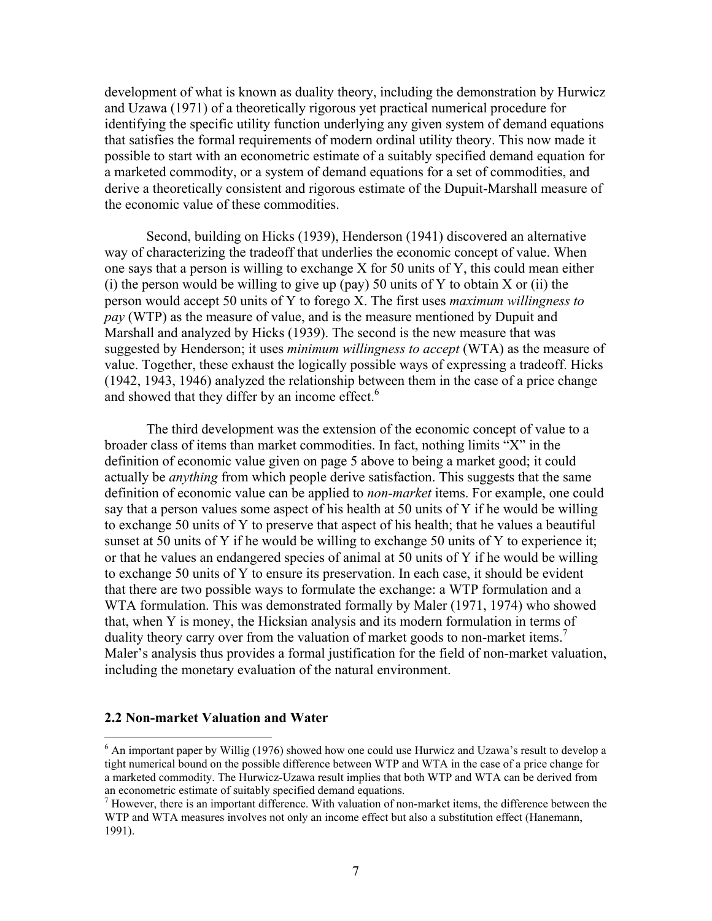development of what is known as duality theory, including the demonstration by Hurwicz and Uzawa (1971) of a theoretically rigorous yet practical numerical procedure for identifying the specific utility function underlying any given system of demand equations that satisfies the formal requirements of modern ordinal utility theory. This now made it possible to start with an econometric estimate of a suitably specified demand equation for a marketed commodity, or a system of demand equations for a set of commodities, and derive a theoretically consistent and rigorous estimate of the Dupuit-Marshall measure of the economic value of these commodities.

 Second, building on Hicks (1939), Henderson (1941) discovered an alternative way of characterizing the tradeoff that underlies the economic concept of value. When one says that a person is willing to exchange X for 50 units of Y, this could mean either (i) the person would be willing to give up (pay) 50 units of Y to obtain X or (ii) the person would accept 50 units of Y to forego X. The first uses *maximum willingness to pay* (WTP) as the measure of value, and is the measure mentioned by Dupuit and Marshall and analyzed by Hicks (1939). The second is the new measure that was suggested by Henderson; it uses *minimum willingness to accept* (WTA) as the measure of value. Together, these exhaust the logically possible ways of expressing a tradeoff. Hicks (1942, 1943, 1946) analyzed the relationship between them in the case of a price change and showed that they differ by an income effect.<sup>6</sup>

 The third development was the extension of the economic concept of value to a broader class of items than market commodities. In fact, nothing limits "X" in the definition of economic value given on page 5 above to being a market good; it could actually be *anything* from which people derive satisfaction. This suggests that the same definition of economic value can be applied to *non-market* items. For example, one could say that a person values some aspect of his health at 50 units of Y if he would be willing to exchange 50 units of Y to preserve that aspect of his health; that he values a beautiful sunset at 50 units of Y if he would be willing to exchange 50 units of Y to experience it; or that he values an endangered species of animal at 50 units of Y if he would be willing to exchange 50 units of Y to ensure its preservation. In each case, it should be evident that there are two possible ways to formulate the exchange: a WTP formulation and a WTA formulation. This was demonstrated formally by Maler (1971, 1974) who showed that, when Y is money, the Hicksian analysis and its modern formulation in terms of duality theory carry over from the valuation of market goods to non-market items.<sup>7</sup> Maler's analysis thus provides a formal justification for the field of non-market valuation, including the monetary evaluation of the natural environment.

### **2.2 Non-market Valuation and Water**

 $6$  An important paper by Willig (1976) showed how one could use Hurwicz and Uzawa's result to develop a tight numerical bound on the possible difference between WTP and WTA in the case of a price change for a marketed commodity. The Hurwicz-Uzawa result implies that both WTP and WTA can be derived from an econometric estimate of suitably specified demand equations.

 $<sup>7</sup>$  However, there is an important difference. With valuation of non-market items, the difference between the</sup> WTP and WTA measures involves not only an income effect but also a substitution effect (Hanemann, 1991).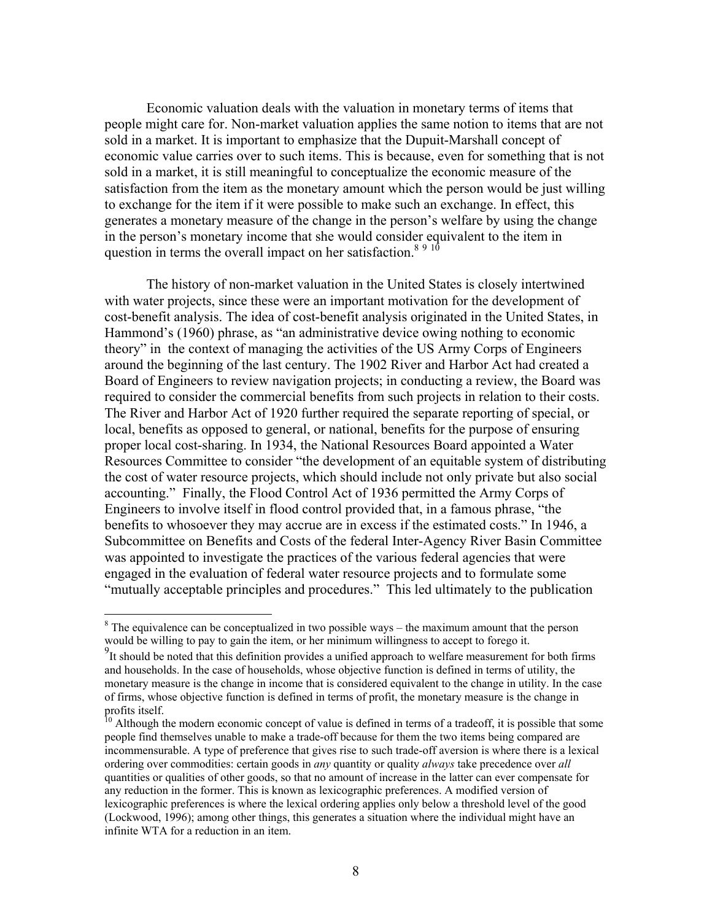Economic valuation deals with the valuation in monetary terms of items that people might care for. Non-market valuation applies the same notion to items that are not sold in a market. It is important to emphasize that the Dupuit-Marshall concept of economic value carries over to such items. This is because, even for something that is not sold in a market, it is still meaningful to conceptualize the economic measure of the satisfaction from the item as the monetary amount which the person would be just willing to exchange for the item if it were possible to make such an exchange. In effect, this generates a monetary measure of the change in the person's welfare by using the change in the person's monetary income that she would consider equivalent to the item in question in terms the overall impact on her satisfaction.<sup>8 9 10</sup>

 The history of non-market valuation in the United States is closely intertwined with water projects, since these were an important motivation for the development of cost-benefit analysis. The idea of cost-benefit analysis originated in the United States, in Hammond's (1960) phrase, as "an administrative device owing nothing to economic theory" in the context of managing the activities of the US Army Corps of Engineers around the beginning of the last century. The 1902 River and Harbor Act had created a Board of Engineers to review navigation projects; in conducting a review, the Board was required to consider the commercial benefits from such projects in relation to their costs. The River and Harbor Act of 1920 further required the separate reporting of special, or local, benefits as opposed to general, or national, benefits for the purpose of ensuring proper local cost-sharing. In 1934, the National Resources Board appointed a Water Resources Committee to consider "the development of an equitable system of distributing the cost of water resource projects, which should include not only private but also social accounting." Finally, the Flood Control Act of 1936 permitted the Army Corps of Engineers to involve itself in flood control provided that, in a famous phrase, "the benefits to whosoever they may accrue are in excess if the estimated costs." In 1946, a Subcommittee on Benefits and Costs of the federal Inter-Agency River Basin Committee was appointed to investigate the practices of the various federal agencies that were engaged in the evaluation of federal water resource projects and to formulate some "mutually acceptable principles and procedures." This led ultimately to the publication

<u>.</u>

 $8$  The equivalence can be conceptualized in two possible ways – the maximum amount that the person would be willing to pay to gain the item, or her minimum willingness to accept to forego it.

<sup>&</sup>lt;sup>9</sup>It should be noted that this definition provides a unified approach to welfare measurement for both firms and households. In the case of households, whose objective function is defined in terms of utility, the monetary measure is the change in income that is considered equivalent to the change in utility. In the case of firms, whose objective function is defined in terms of profit, the monetary measure is the change in profits itself.

 $10$  Although the modern economic concept of value is defined in terms of a tradeoff, it is possible that some people find themselves unable to make a trade-off because for them the two items being compared are incommensurable. A type of preference that gives rise to such trade-off aversion is where there is a lexical ordering over commodities: certain goods in *any* quantity or quality *always* take precedence over *all* quantities or qualities of other goods, so that no amount of increase in the latter can ever compensate for any reduction in the former. This is known as lexicographic preferences. A modified version of lexicographic preferences is where the lexical ordering applies only below a threshold level of the good (Lockwood, 1996); among other things, this generates a situation where the individual might have an infinite WTA for a reduction in an item.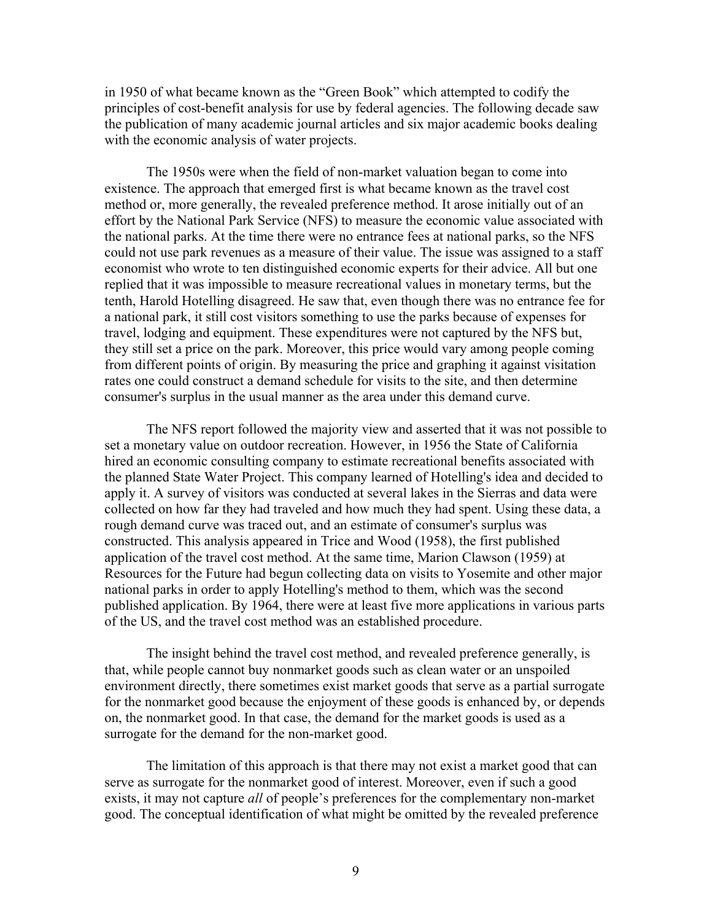in 1950 of what became known as the "Green Book" which attempted to codify the principles of cost-benefit analysis for use by federal agencies. The following decade saw the publication of many academic journal articles and six major academic books dealing with the economic analysis of water projects.

 The 1950s were when the field of non-market valuation began to come into existence. The approach that emerged first is what became known as the travel cost method or, more generally, the revealed preference method. It arose initially out of an effort by the National Park Service (NFS) to measure the economic value associated with the national parks. At the time there were no entrance fees at national parks, so the NFS could not use park revenues as a measure of their value. The issue was assigned to a staff economist who wrote to ten distinguished economic experts for their advice. All but one replied that it was impossible to measure recreational values in monetary terms, but the tenth, Harold Hotelling disagreed. He saw that, even though there was no entrance fee for a national park, it still cost visitors something to use the parks because of expenses for travel, lodging and equipment. These expenditures were not captured by the NFS but, they still set a price on the park. Moreover, this price would vary among people coming from different points of origin. By measuring the price and graphing it against visitation rates one could construct a demand schedule for visits to the site, and then determine consumer's surplus in the usual manner as the area under this demand curve.

The NFS report followed the majority view and asserted that it was not possible to set a monetary value on outdoor recreation. However, in 1956 the State of California hired an economic consulting company to estimate recreational benefits associated with the planned State Water Project. This company learned of Hotelling's idea and decided to apply it. A survey of visitors was conducted at several lakes in the Sierras and data were collected on how far they had traveled and how much they had spent. Using these data, a rough demand curve was traced out, and an estimate of consumer's surplus was constructed. This analysis appeared in Trice and Wood (1958), the first published application of the travel cost method. At the same time, Marion Clawson (1959) at Resources for the Future had begun collecting data on visits to Yosemite and other major national parks in order to apply Hotelling's method to them, which was the second published application. By 1964, there were at least five more applications in various parts of the US, and the travel cost method was an established procedure.

The insight behind the travel cost method, and revealed preference generally, is that, while people cannot buy nonmarket goods such as clean water or an unspoiled environment directly, there sometimes exist market goods that serve as a partial surrogate for the nonmarket good because the enjoyment of these goods is enhanced by, or depends on, the nonmarket good. In that case, the demand for the market goods is used as a surrogate for the demand for the non-market good.

The limitation of this approach is that there may not exist a market good that can serve as surrogate for the nonmarket good of interest. Moreover, even if such a good exists, it may not capture *all* of people's preferences for the complementary non-market good. The conceptual identification of what might be omitted by the revealed preference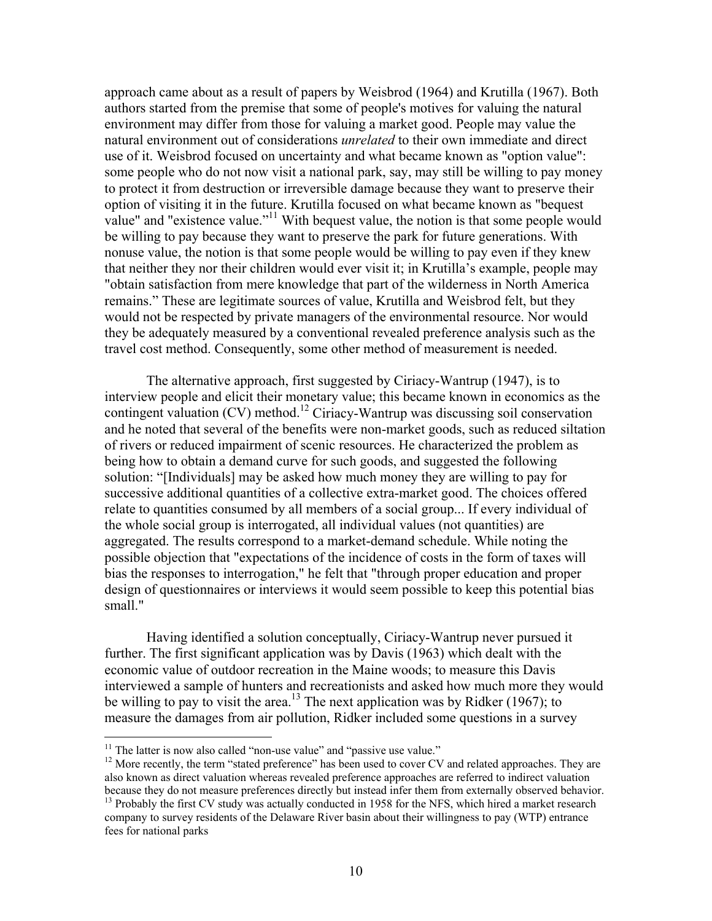approach came about as a result of papers by Weisbrod (1964) and Krutilla (1967). Both authors started from the premise that some of people's motives for valuing the natural environment may differ from those for valuing a market good. People may value the natural environment out of considerations *unrelated* to their own immediate and direct use of it. Weisbrod focused on uncertainty and what became known as "option value": some people who do not now visit a national park, say, may still be willing to pay money to protect it from destruction or irreversible damage because they want to preserve their option of visiting it in the future. Krutilla focused on what became known as "bequest value" and "existence value."<sup>11</sup> With bequest value, the notion is that some people would be willing to pay because they want to preserve the park for future generations. With nonuse value, the notion is that some people would be willing to pay even if they knew that neither they nor their children would ever visit it; in Krutilla's example, people may "obtain satisfaction from mere knowledge that part of the wilderness in North America remains." These are legitimate sources of value, Krutilla and Weisbrod felt, but they would not be respected by private managers of the environmental resource. Nor would they be adequately measured by a conventional revealed preference analysis such as the travel cost method. Consequently, some other method of measurement is needed.

The alternative approach, first suggested by Ciriacy-Wantrup (1947), is to interview people and elicit their monetary value; this became known in economics as the contingent valuation (CV) method.12 Ciriacy-Wantrup was discussing soil conservation and he noted that several of the benefits were non-market goods, such as reduced siltation of rivers or reduced impairment of scenic resources. He characterized the problem as being how to obtain a demand curve for such goods, and suggested the following solution: "[Individuals] may be asked how much money they are willing to pay for successive additional quantities of a collective extra-market good. The choices offered relate to quantities consumed by all members of a social group... If every individual of the whole social group is interrogated, all individual values (not quantities) are aggregated. The results correspond to a market-demand schedule. While noting the possible objection that "expectations of the incidence of costs in the form of taxes will bias the responses to interrogation," he felt that "through proper education and proper design of questionnaires or interviews it would seem possible to keep this potential bias small<sup>"</sup>

Having identified a solution conceptually, Ciriacy-Wantrup never pursued it further. The first significant application was by Davis (1963) which dealt with the economic value of outdoor recreation in the Maine woods; to measure this Davis interviewed a sample of hunters and recreationists and asked how much more they would be willing to pay to visit the area.<sup>13</sup> The next application was by Ridker (1967); to measure the damages from air pollution, Ridker included some questions in a survey

 $11$  The latter is now also called "non-use value" and "passive use value."

<sup>&</sup>lt;sup>12</sup> More recently, the term "stated preference" has been used to cover CV and related approaches. They are also known as direct valuation whereas revealed preference approaches are referred to indirect valuation because they do not measure preferences directly but instead infer them from externally observed behavior. <sup>13</sup> Probably the first CV study was actually conducted in 1958 for the NFS, which hired a market research

company to survey residents of the Delaware River basin about their willingness to pay (WTP) entrance fees for national parks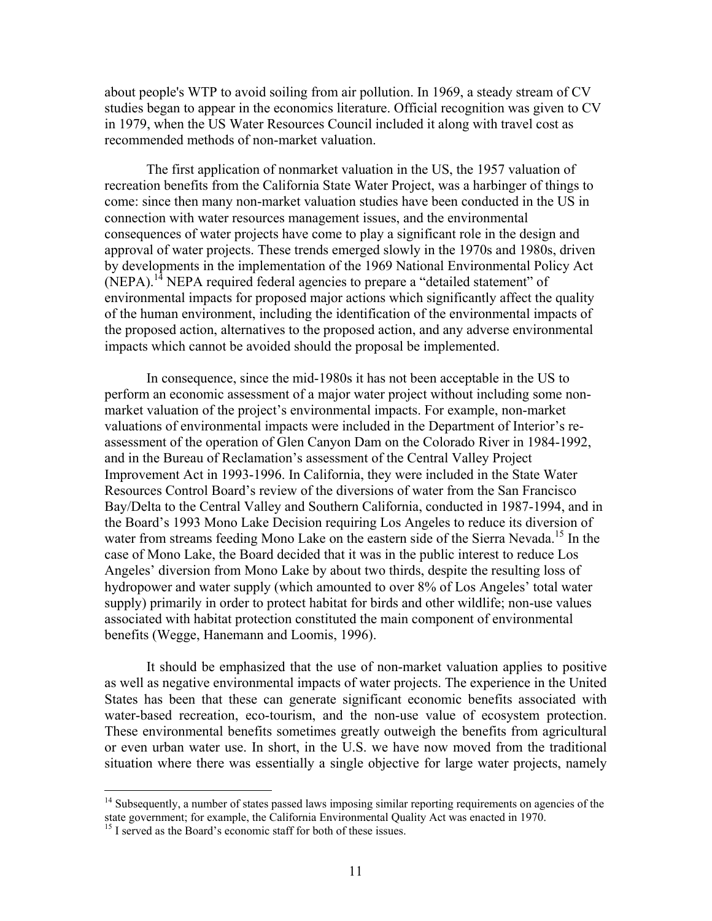about people's WTP to avoid soiling from air pollution. In 1969, a steady stream of CV studies began to appear in the economics literature. Official recognition was given to CV in 1979, when the US Water Resources Council included it along with travel cost as recommended methods of non-market valuation.

The first application of nonmarket valuation in the US, the 1957 valuation of recreation benefits from the California State Water Project, was a harbinger of things to come: since then many non-market valuation studies have been conducted in the US in connection with water resources management issues, and the environmental consequences of water projects have come to play a significant role in the design and approval of water projects. These trends emerged slowly in the 1970s and 1980s, driven by developments in the implementation of the 1969 National Environmental Policy Act (NEPA).14 NEPA required federal agencies to prepare a "detailed statement" of environmental impacts for proposed major actions which significantly affect the quality of the human environment, including the identification of the environmental impacts of the proposed action, alternatives to the proposed action, and any adverse environmental impacts which cannot be avoided should the proposal be implemented.

In consequence, since the mid-1980s it has not been acceptable in the US to perform an economic assessment of a major water project without including some nonmarket valuation of the project's environmental impacts. For example, non-market valuations of environmental impacts were included in the Department of Interior's reassessment of the operation of Glen Canyon Dam on the Colorado River in 1984-1992, and in the Bureau of Reclamation's assessment of the Central Valley Project Improvement Act in 1993-1996. In California, they were included in the State Water Resources Control Board's review of the diversions of water from the San Francisco Bay/Delta to the Central Valley and Southern California, conducted in 1987-1994, and in the Board's 1993 Mono Lake Decision requiring Los Angeles to reduce its diversion of water from streams feeding Mono Lake on the eastern side of the Sierra Nevada.<sup>15</sup> In the case of Mono Lake, the Board decided that it was in the public interest to reduce Los Angeles' diversion from Mono Lake by about two thirds, despite the resulting loss of hydropower and water supply (which amounted to over 8% of Los Angeles' total water supply) primarily in order to protect habitat for birds and other wildlife; non-use values associated with habitat protection constituted the main component of environmental benefits (Wegge, Hanemann and Loomis, 1996).

 It should be emphasized that the use of non-market valuation applies to positive as well as negative environmental impacts of water projects. The experience in the United States has been that these can generate significant economic benefits associated with water-based recreation, eco-tourism, and the non-use value of ecosystem protection. These environmental benefits sometimes greatly outweigh the benefits from agricultural or even urban water use. In short, in the U.S. we have now moved from the traditional situation where there was essentially a single objective for large water projects, namely

1

<sup>&</sup>lt;sup>14</sup> Subsequently, a number of states passed laws imposing similar reporting requirements on agencies of the state government; for example, the California Environmental Quality Act was enacted in 1970.

<sup>&</sup>lt;sup>15</sup> I served as the Board's economic staff for both of these issues.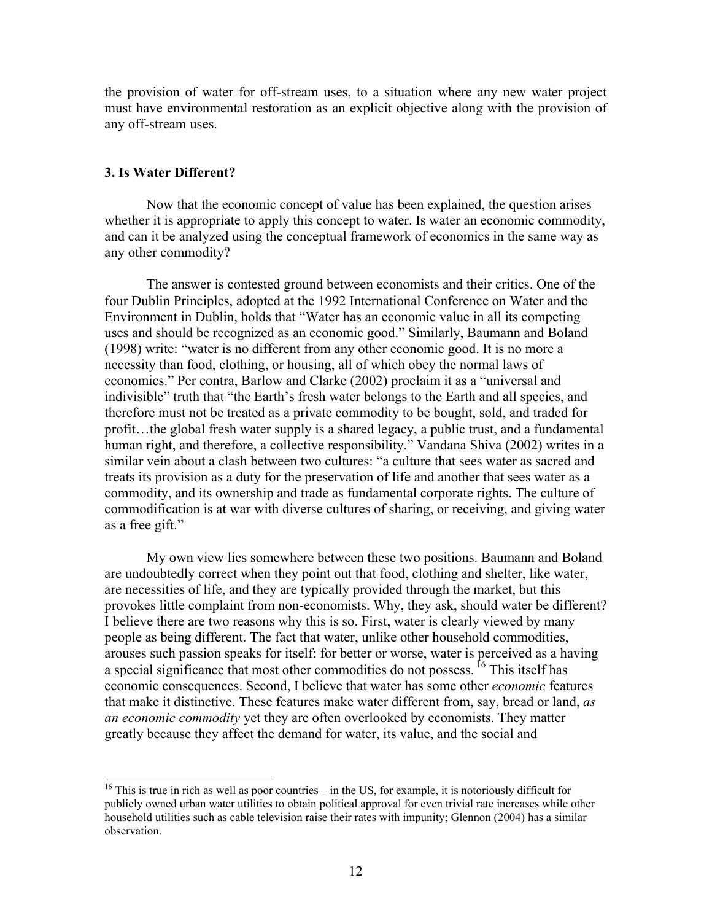the provision of water for off-stream uses, to a situation where any new water project must have environmental restoration as an explicit objective along with the provision of any off-stream uses.

#### **3. Is Water Different?**

 $\overline{a}$ 

Now that the economic concept of value has been explained, the question arises whether it is appropriate to apply this concept to water. Is water an economic commodity, and can it be analyzed using the conceptual framework of economics in the same way as any other commodity?

The answer is contested ground between economists and their critics. One of the four Dublin Principles, adopted at the 1992 International Conference on Water and the Environment in Dublin, holds that "Water has an economic value in all its competing uses and should be recognized as an economic good." Similarly, Baumann and Boland (1998) write: "water is no different from any other economic good. It is no more a necessity than food, clothing, or housing, all of which obey the normal laws of economics." Per contra, Barlow and Clarke (2002) proclaim it as a "universal and indivisible" truth that "the Earth's fresh water belongs to the Earth and all species, and therefore must not be treated as a private commodity to be bought, sold, and traded for profit…the global fresh water supply is a shared legacy, a public trust, and a fundamental human right, and therefore, a collective responsibility." Vandana Shiva (2002) writes in a similar vein about a clash between two cultures: "a culture that sees water as sacred and treats its provision as a duty for the preservation of life and another that sees water as a commodity, and its ownership and trade as fundamental corporate rights. The culture of commodification is at war with diverse cultures of sharing, or receiving, and giving water as a free gift."

My own view lies somewhere between these two positions. Baumann and Boland are undoubtedly correct when they point out that food, clothing and shelter, like water, are necessities of life, and they are typically provided through the market, but this provokes little complaint from non-economists. Why, they ask, should water be different? I believe there are two reasons why this is so. First, water is clearly viewed by many people as being different. The fact that water, unlike other household commodities, arouses such passion speaks for itself: for better or worse, water is perceived as a having a special significance that most other commodities do not possess.<sup>16</sup> This itself has economic consequences. Second, I believe that water has some other *economic* features that make it distinctive. These features make water different from, say, bread or land, *as an economic commodity* yet they are often overlooked by economists. They matter greatly because they affect the demand for water, its value, and the social and

<sup>&</sup>lt;sup>16</sup> This is true in rich as well as poor countries – in the US, for example, it is notoriously difficult for publicly owned urban water utilities to obtain political approval for even trivial rate increases while other household utilities such as cable television raise their rates with impunity; Glennon (2004) has a similar observation.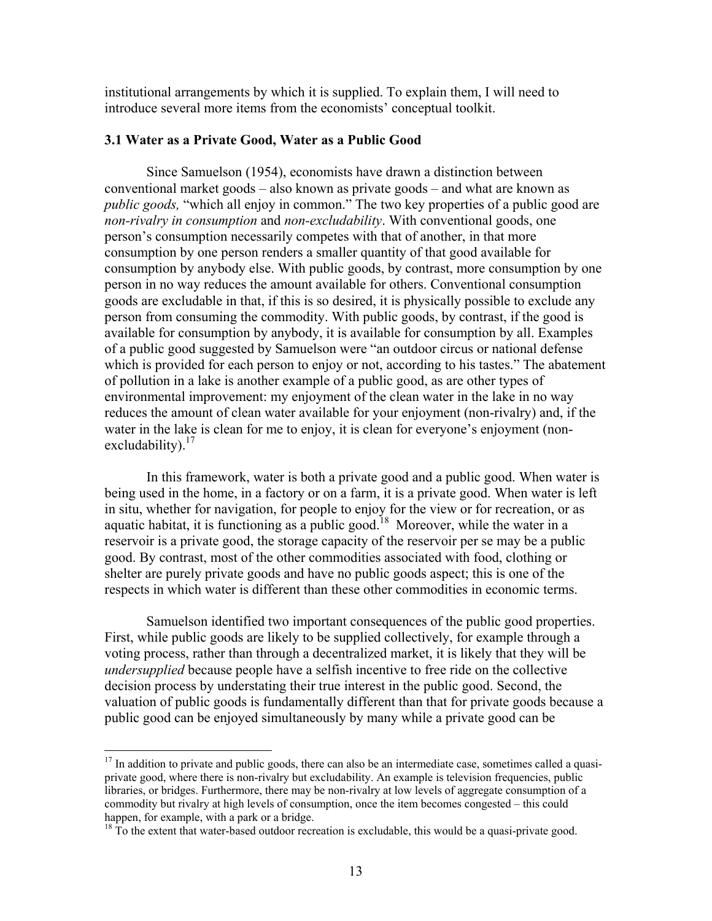institutional arrangements by which it is supplied. To explain them, I will need to introduce several more items from the economists' conceptual toolkit.

#### **3.1 Water as a Private Good, Water as a Public Good**

Since Samuelson (1954), economists have drawn a distinction between conventional market goods – also known as private goods – and what are known as *public goods,* "which all enjoy in common." The two key properties of a public good are *non-rivalry in consumption* and *non-excludability*. With conventional goods, one person's consumption necessarily competes with that of another, in that more consumption by one person renders a smaller quantity of that good available for consumption by anybody else. With public goods, by contrast, more consumption by one person in no way reduces the amount available for others. Conventional consumption goods are excludable in that, if this is so desired, it is physically possible to exclude any person from consuming the commodity. With public goods, by contrast, if the good is available for consumption by anybody, it is available for consumption by all. Examples of a public good suggested by Samuelson were "an outdoor circus or national defense which is provided for each person to enjoy or not, according to his tastes." The abatement of pollution in a lake is another example of a public good, as are other types of environmental improvement: my enjoyment of the clean water in the lake in no way reduces the amount of clean water available for your enjoyment (non-rivalry) and, if the water in the lake is clean for me to enjoy, it is clean for everyone's enjoyment (nonexcludability). $17$ 

In this framework, water is both a private good and a public good. When water is being used in the home, in a factory or on a farm, it is a private good. When water is left in situ, whether for navigation, for people to enjoy for the view or for recreation, or as aquatic habitat, it is functioning as a public good.<sup>18</sup> Moreover, while the water in a reservoir is a private good, the storage capacity of the reservoir per se may be a public good. By contrast, most of the other commodities associated with food, clothing or shelter are purely private goods and have no public goods aspect; this is one of the respects in which water is different than these other commodities in economic terms.

Samuelson identified two important consequences of the public good properties. First, while public goods are likely to be supplied collectively, for example through a voting process, rather than through a decentralized market, it is likely that they will be *undersupplied* because people have a selfish incentive to free ride on the collective decision process by understating their true interest in the public good. Second, the valuation of public goods is fundamentally different than that for private goods because a public good can be enjoyed simultaneously by many while a private good can be

1

 $17$  In addition to private and public goods, there can also be an intermediate case, sometimes called a quasiprivate good, where there is non-rivalry but excludability. An example is television frequencies, public libraries, or bridges. Furthermore, there may be non-rivalry at low levels of aggregate consumption of a commodity but rivalry at high levels of consumption, once the item becomes congested – this could happen, for example, with a park or a bridge.

<sup>&</sup>lt;sup>18</sup> To the extent that water-based outdoor recreation is excludable, this would be a quasi-private good.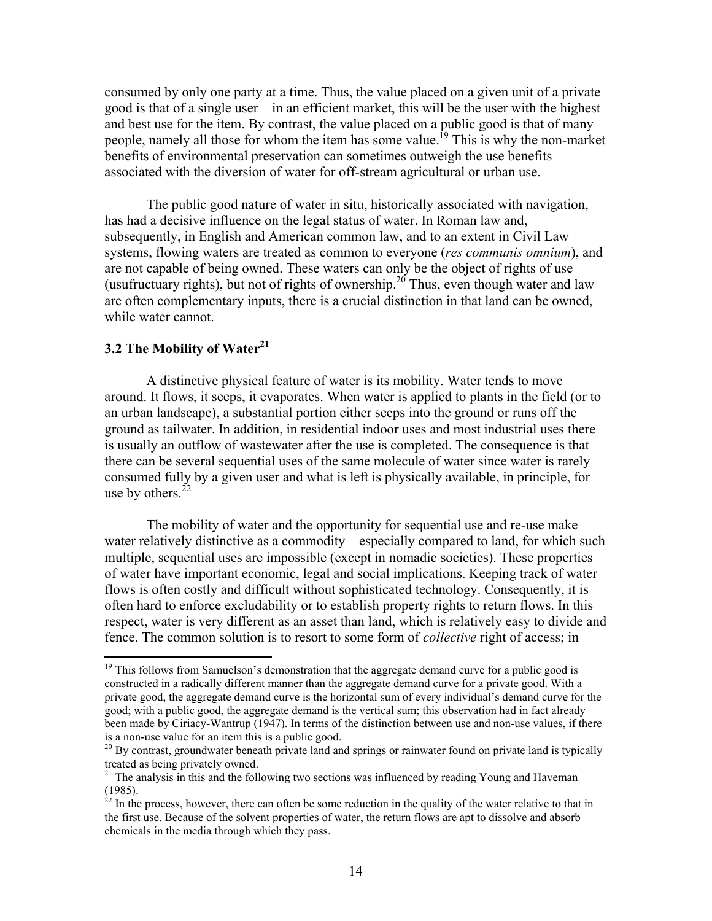consumed by only one party at a time. Thus, the value placed on a given unit of a private good is that of a single user – in an efficient market, this will be the user with the highest and best use for the item. By contrast, the value placed on a public good is that of many people, namely all those for whom the item has some value.<sup>19</sup> This is why the non-market benefits of environmental preservation can sometimes outweigh the use benefits associated with the diversion of water for off-stream agricultural or urban use.

The public good nature of water in situ, historically associated with navigation, has had a decisive influence on the legal status of water. In Roman law and, subsequently, in English and American common law, and to an extent in Civil Law systems, flowing waters are treated as common to everyone (*res communis omnium*), and are not capable of being owned. These waters can only be the object of rights of use (usufructuary rights), but not of rights of ownership.<sup>20</sup> Thus, even though water and law are often complementary inputs, there is a crucial distinction in that land can be owned, while water cannot.

## **3.2 The Mobility of Water**<sup>21</sup>

 $\overline{a}$ 

 A distinctive physical feature of water is its mobility. Water tends to move around. It flows, it seeps, it evaporates. When water is applied to plants in the field (or to an urban landscape), a substantial portion either seeps into the ground or runs off the ground as tailwater. In addition, in residential indoor uses and most industrial uses there is usually an outflow of wastewater after the use is completed. The consequence is that there can be several sequential uses of the same molecule of water since water is rarely consumed fully by a given user and what is left is physically available, in principle, for use by others. $^{22}$ 

The mobility of water and the opportunity for sequential use and re-use make water relatively distinctive as a commodity – especially compared to land, for which such multiple, sequential uses are impossible (except in nomadic societies). These properties of water have important economic, legal and social implications. Keeping track of water flows is often costly and difficult without sophisticated technology. Consequently, it is often hard to enforce excludability or to establish property rights to return flows. In this respect, water is very different as an asset than land, which is relatively easy to divide and fence. The common solution is to resort to some form of *collective* right of access; in

 $19$  This follows from Samuelson's demonstration that the aggregate demand curve for a public good is constructed in a radically different manner than the aggregate demand curve for a private good. With a private good, the aggregate demand curve is the horizontal sum of every individual's demand curve for the good; with a public good, the aggregate demand is the vertical sum; this observation had in fact already been made by Ciriacy-Wantrup (1947). In terms of the distinction between use and non-use values, if there is a non-use value for an item this is a public good.

 $^{20}$  By contrast, groundwater beneath private land and springs or rainwater found on private land is typically treated as being privately owned.

<sup>&</sup>lt;sup>21</sup> The analysis in this and the following two sections was influenced by reading Young and Haveman (1985).

 $^{22}$  In the process, however, there can often be some reduction in the quality of the water relative to that in the first use. Because of the solvent properties of water, the return flows are apt to dissolve and absorb chemicals in the media through which they pass.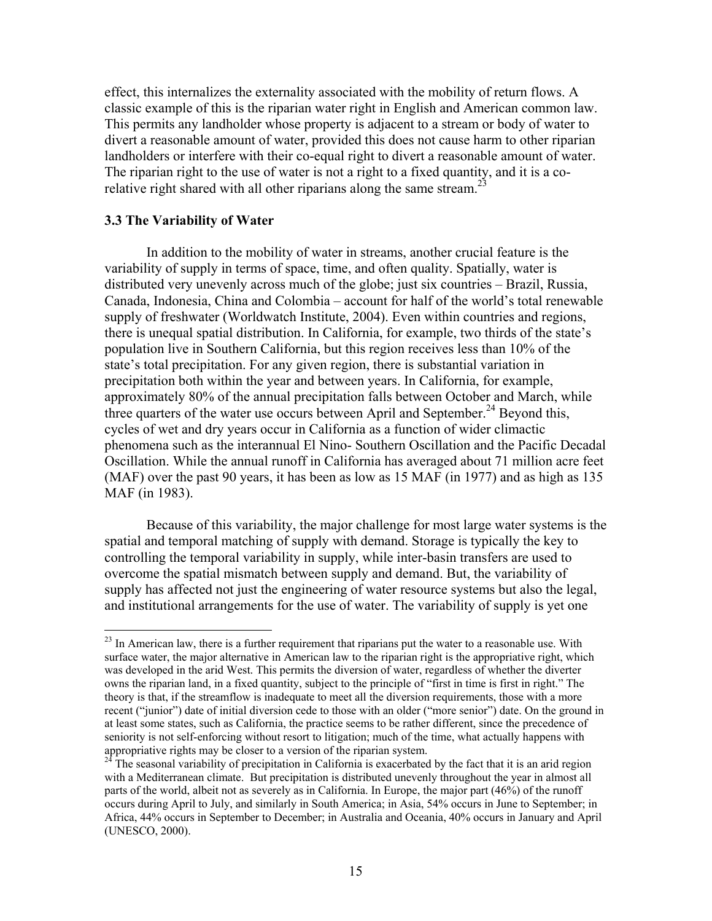effect, this internalizes the externality associated with the mobility of return flows. A classic example of this is the riparian water right in English and American common law. This permits any landholder whose property is adjacent to a stream or body of water to divert a reasonable amount of water, provided this does not cause harm to other riparian landholders or interfere with their co-equal right to divert a reasonable amount of water. The riparian right to the use of water is not a right to a fixed quantity, and it is a corelative right shared with all other riparians along the same stream.<sup>23</sup>

#### **3.3 The Variability of Water**

 $\overline{a}$ 

 In addition to the mobility of water in streams, another crucial feature is the variability of supply in terms of space, time, and often quality. Spatially, water is distributed very unevenly across much of the globe; just six countries – Brazil, Russia, Canada, Indonesia, China and Colombia – account for half of the world's total renewable supply of freshwater (Worldwatch Institute, 2004). Even within countries and regions, there is unequal spatial distribution. In California, for example, two thirds of the state's population live in Southern California, but this region receives less than 10% of the state's total precipitation. For any given region, there is substantial variation in precipitation both within the year and between years. In California, for example, approximately 80% of the annual precipitation falls between October and March, while three quarters of the water use occurs between April and September.<sup>24</sup> Beyond this, cycles of wet and dry years occur in California as a function of wider climactic phenomena such as the interannual El Nino- Southern Oscillation and the Pacific Decadal Oscillation. While the annual runoff in California has averaged about 71 million acre feet (MAF) over the past 90 years, it has been as low as 15 MAF (in 1977) and as high as 135 MAF (in 1983).

Because of this variability, the major challenge for most large water systems is the spatial and temporal matching of supply with demand. Storage is typically the key to controlling the temporal variability in supply, while inter-basin transfers are used to overcome the spatial mismatch between supply and demand. But, the variability of supply has affected not just the engineering of water resource systems but also the legal, and institutional arrangements for the use of water. The variability of supply is yet one

<sup>&</sup>lt;sup>23</sup> In American law, there is a further requirement that riparians put the water to a reasonable use. With surface water, the major alternative in American law to the riparian right is the appropriative right, which was developed in the arid West. This permits the diversion of water, regardless of whether the diverter owns the riparian land, in a fixed quantity, subject to the principle of "first in time is first in right." The theory is that, if the streamflow is inadequate to meet all the diversion requirements, those with a more recent ("junior") date of initial diversion cede to those with an older ("more senior") date. On the ground in at least some states, such as California, the practice seems to be rather different, since the precedence of seniority is not self-enforcing without resort to litigation; much of the time, what actually happens with appropriative rights may be closer to a version of the riparian system.

<sup>24</sup> The seasonal variability of precipitation in California is exacerbated by the fact that it is an arid region with a Mediterranean climate. But precipitation is distributed unevenly throughout the year in almost all parts of the world, albeit not as severely as in California. In Europe, the major part (46%) of the runoff occurs during April to July, and similarly in South America; in Asia, 54% occurs in June to September; in Africa, 44% occurs in September to December; in Australia and Oceania, 40% occurs in January and April (UNESCO, 2000).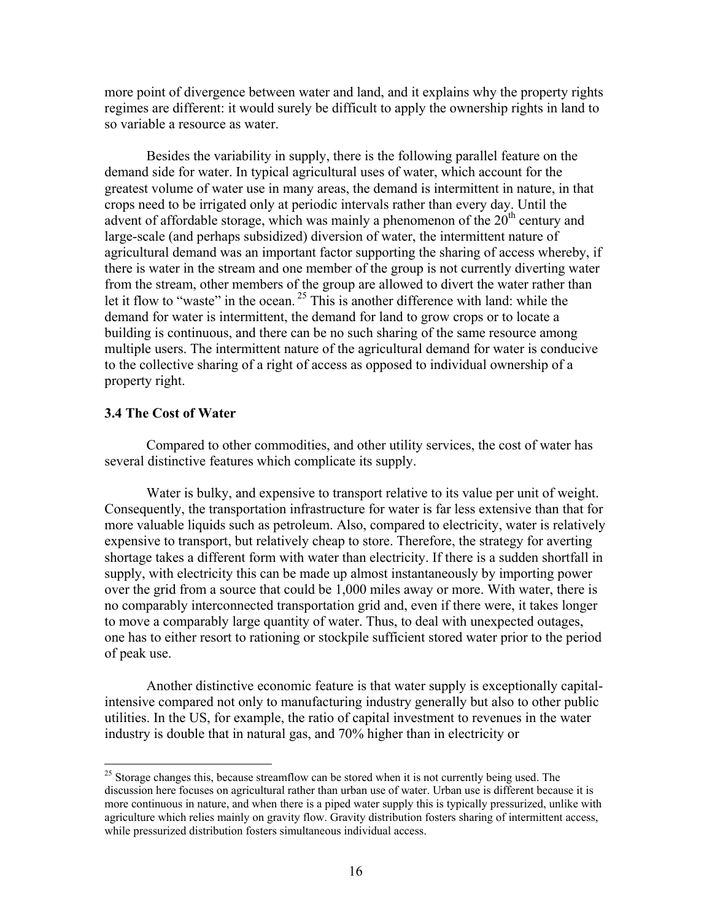more point of divergence between water and land, and it explains why the property rights regimes are different: it would surely be difficult to apply the ownership rights in land to so variable a resource as water.

Besides the variability in supply, there is the following parallel feature on the demand side for water. In typical agricultural uses of water, which account for the greatest volume of water use in many areas, the demand is intermittent in nature, in that crops need to be irrigated only at periodic intervals rather than every day. Until the advent of affordable storage, which was mainly a phenomenon of the  $20<sup>th</sup>$  century and large-scale (and perhaps subsidized) diversion of water, the intermittent nature of agricultural demand was an important factor supporting the sharing of access whereby, if there is water in the stream and one member of the group is not currently diverting water from the stream, other members of the group are allowed to divert the water rather than let it flow to "waste" in the ocean. <sup>25</sup> This is another difference with land: while the demand for water is intermittent, the demand for land to grow crops or to locate a building is continuous, and there can be no such sharing of the same resource among multiple users. The intermittent nature of the agricultural demand for water is conducive to the collective sharing of a right of access as opposed to individual ownership of a property right.

#### **3.4 The Cost of Water**

 $\overline{a}$ 

 Compared to other commodities, and other utility services, the cost of water has several distinctive features which complicate its supply.

 Water is bulky, and expensive to transport relative to its value per unit of weight. Consequently, the transportation infrastructure for water is far less extensive than that for more valuable liquids such as petroleum. Also, compared to electricity, water is relatively expensive to transport, but relatively cheap to store. Therefore, the strategy for averting shortage takes a different form with water than electricity. If there is a sudden shortfall in supply, with electricity this can be made up almost instantaneously by importing power over the grid from a source that could be 1,000 miles away or more. With water, there is no comparably interconnected transportation grid and, even if there were, it takes longer to move a comparably large quantity of water. Thus, to deal with unexpected outages, one has to either resort to rationing or stockpile sufficient stored water prior to the period of peak use.

 Another distinctive economic feature is that water supply is exceptionally capitalintensive compared not only to manufacturing industry generally but also to other public utilities. In the US, for example, the ratio of capital investment to revenues in the water industry is double that in natural gas, and 70% higher than in electricity or

<sup>&</sup>lt;sup>25</sup> Storage changes this, because streamflow can be stored when it is not currently being used. The discussion here focuses on agricultural rather than urban use of water. Urban use is different because it is more continuous in nature, and when there is a piped water supply this is typically pressurized, unlike with agriculture which relies mainly on gravity flow. Gravity distribution fosters sharing of intermittent access, while pressurized distribution fosters simultaneous individual access.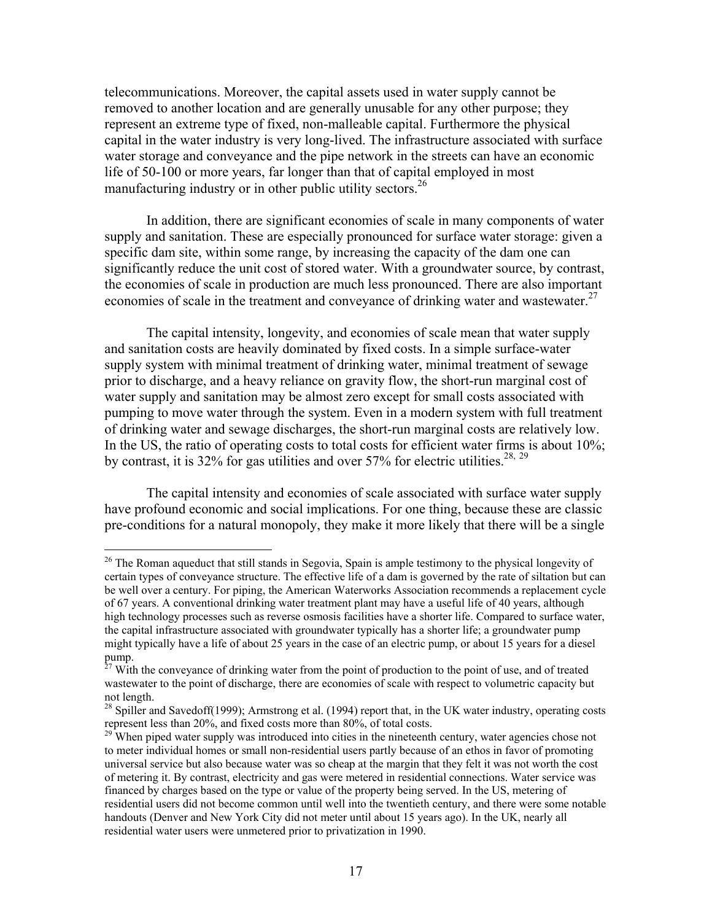telecommunications. Moreover, the capital assets used in water supply cannot be removed to another location and are generally unusable for any other purpose; they represent an extreme type of fixed, non-malleable capital. Furthermore the physical capital in the water industry is very long-lived. The infrastructure associated with surface water storage and conveyance and the pipe network in the streets can have an economic life of 50-100 or more years, far longer than that of capital employed in most manufacturing industry or in other public utility sectors.<sup>26</sup>

 In addition, there are significant economies of scale in many components of water supply and sanitation. These are especially pronounced for surface water storage: given a specific dam site, within some range, by increasing the capacity of the dam one can significantly reduce the unit cost of stored water. With a groundwater source, by contrast, the economies of scale in production are much less pronounced. There are also important economies of scale in the treatment and conveyance of drinking water and wastewater.<sup>27</sup>

The capital intensity, longevity, and economies of scale mean that water supply and sanitation costs are heavily dominated by fixed costs. In a simple surface-water supply system with minimal treatment of drinking water, minimal treatment of sewage prior to discharge, and a heavy reliance on gravity flow, the short-run marginal cost of water supply and sanitation may be almost zero except for small costs associated with pumping to move water through the system. Even in a modern system with full treatment of drinking water and sewage discharges, the short-run marginal costs are relatively low. In the US, the ratio of operating costs to total costs for efficient water firms is about 10%; by contrast, it is 32% for gas utilities and over 57% for electric utilities.<sup>28, 29</sup>

The capital intensity and economies of scale associated with surface water supply have profound economic and social implications. For one thing, because these are classic pre-conditions for a natural monopoly, they make it more likely that there will be a single

<sup>&</sup>lt;sup>26</sup> The Roman aqueduct that still stands in Segovia, Spain is ample testimony to the physical longevity of certain types of conveyance structure. The effective life of a dam is governed by the rate of siltation but can be well over a century. For piping, the American Waterworks Association recommends a replacement cycle of 67 years. A conventional drinking water treatment plant may have a useful life of 40 years, although high technology processes such as reverse osmosis facilities have a shorter life. Compared to surface water, the capital infrastructure associated with groundwater typically has a shorter life; a groundwater pump might typically have a life of about 25 years in the case of an electric pump, or about 15 years for a diesel  $\sum_{27}$  pump.

<sup>&</sup>lt;sup>7</sup> With the conveyance of drinking water from the point of production to the point of use, and of treated wastewater to the point of discharge, there are economies of scale with respect to volumetric capacity but not length.

<sup>&</sup>lt;sup>28</sup> Spiller and Savedoff(1999); Armstrong et al. (1994) report that, in the UK water industry, operating costs represent less than 20%, and fixed costs more than 80%, of total costs.

 $29$ <sup>o</sup>When piped water supply was introduced into cities in the nineteenth century, water agencies chose not to meter individual homes or small non-residential users partly because of an ethos in favor of promoting universal service but also because water was so cheap at the margin that they felt it was not worth the cost of metering it. By contrast, electricity and gas were metered in residential connections. Water service was financed by charges based on the type or value of the property being served. In the US, metering of residential users did not become common until well into the twentieth century, and there were some notable handouts (Denver and New York City did not meter until about 15 years ago). In the UK, nearly all residential water users were unmetered prior to privatization in 1990.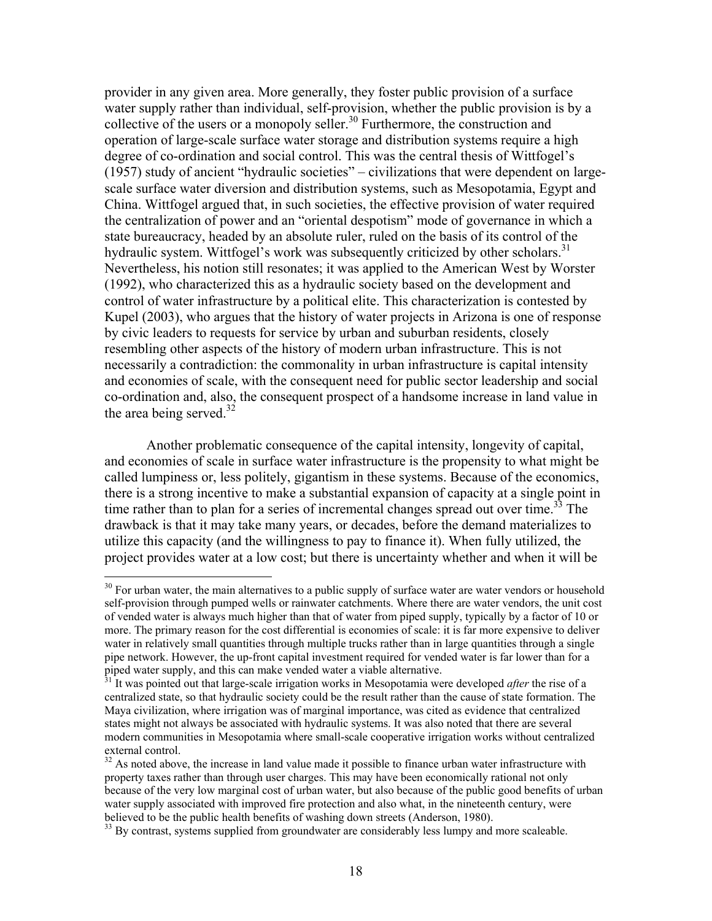provider in any given area. More generally, they foster public provision of a surface water supply rather than individual, self-provision, whether the public provision is by a collective of the users or a monopoly seller.<sup>30</sup> Furthermore, the construction and operation of large-scale surface water storage and distribution systems require a high degree of co-ordination and social control. This was the central thesis of Wittfogel's (1957) study of ancient "hydraulic societies" – civilizations that were dependent on largescale surface water diversion and distribution systems, such as Mesopotamia, Egypt and China. Wittfogel argued that, in such societies, the effective provision of water required the centralization of power and an "oriental despotism" mode of governance in which a state bureaucracy, headed by an absolute ruler, ruled on the basis of its control of the hydraulic system. Wittfogel's work was subsequently criticized by other scholars.<sup>31</sup> Nevertheless, his notion still resonates; it was applied to the American West by Worster (1992), who characterized this as a hydraulic society based on the development and control of water infrastructure by a political elite. This characterization is contested by Kupel (2003), who argues that the history of water projects in Arizona is one of response by civic leaders to requests for service by urban and suburban residents, closely resembling other aspects of the history of modern urban infrastructure. This is not necessarily a contradiction: the commonality in urban infrastructure is capital intensity and economies of scale, with the consequent need for public sector leadership and social co-ordination and, also, the consequent prospect of a handsome increase in land value in the area being served. $32$ 

Another problematic consequence of the capital intensity, longevity of capital, and economies of scale in surface water infrastructure is the propensity to what might be called lumpiness or, less politely, gigantism in these systems. Because of the economics, there is a strong incentive to make a substantial expansion of capacity at a single point in time rather than to plan for a series of incremental changes spread out over time.<sup>33</sup> The drawback is that it may take many years, or decades, before the demand materializes to utilize this capacity (and the willingness to pay to finance it). When fully utilized, the project provides water at a low cost; but there is uncertainty whether and when it will be

 $30$  For urban water, the main alternatives to a public supply of surface water are water vendors or household self-provision through pumped wells or rainwater catchments. Where there are water vendors, the unit cost of vended water is always much higher than that of water from piped supply, typically by a factor of 10 or more. The primary reason for the cost differential is economies of scale: it is far more expensive to deliver water in relatively small quantities through multiple trucks rather than in large quantities through a single pipe network. However, the up-front capital investment required for vended water is far lower than for a piped water supply, and this can make vended water a viable alternative.

<sup>31</sup> It was pointed out that large-scale irrigation works in Mesopotamia were developed *after* the rise of a centralized state, so that hydraulic society could be the result rather than the cause of state formation. The Maya civilization, where irrigation was of marginal importance, was cited as evidence that centralized states might not always be associated with hydraulic systems. It was also noted that there are several modern communities in Mesopotamia where small-scale cooperative irrigation works without centralized external control.

<sup>&</sup>lt;sup>32</sup> As noted above, the increase in land value made it possible to finance urban water infrastructure with property taxes rather than through user charges. This may have been economically rational not only because of the very low marginal cost of urban water, but also because of the public good benefits of urban water supply associated with improved fire protection and also what, in the nineteenth century, were believed to be the public health benefits of washing down streets (Anderson, 1980).

<sup>&</sup>lt;sup>33</sup> By contrast, systems supplied from groundwater are considerably less lumpy and more scaleable.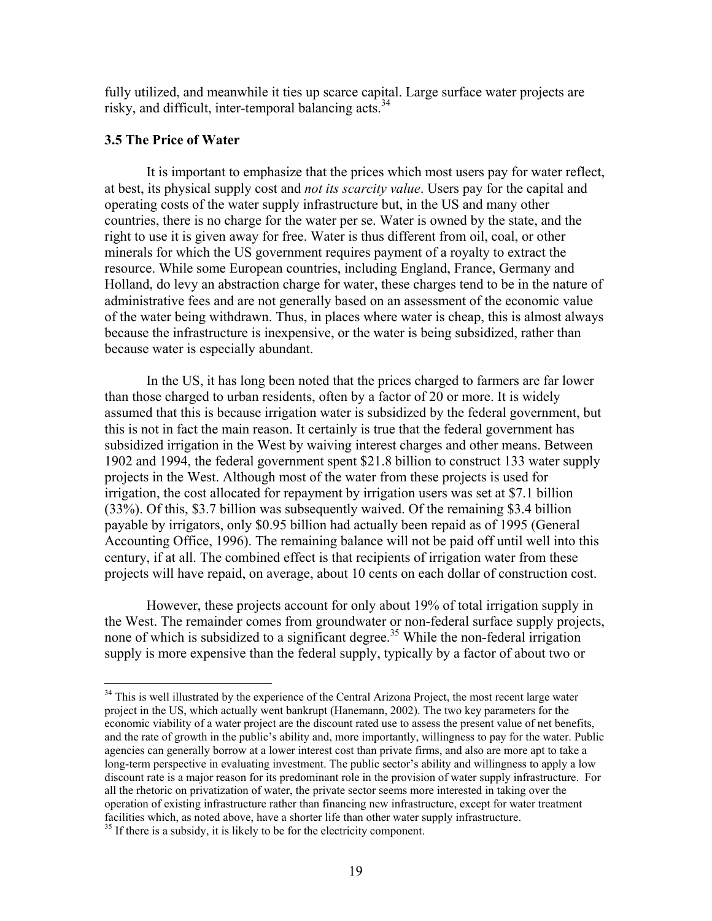fully utilized, and meanwhile it ties up scarce capital. Large surface water projects are risky, and difficult, inter-temporal balancing acts.<sup>34</sup>

#### **3.5 The Price of Water**

 $\overline{a}$ 

It is important to emphasize that the prices which most users pay for water reflect, at best, its physical supply cost and *not its scarcity value*. Users pay for the capital and operating costs of the water supply infrastructure but, in the US and many other countries, there is no charge for the water per se. Water is owned by the state, and the right to use it is given away for free. Water is thus different from oil, coal, or other minerals for which the US government requires payment of a royalty to extract the resource. While some European countries, including England, France, Germany and Holland, do levy an abstraction charge for water, these charges tend to be in the nature of administrative fees and are not generally based on an assessment of the economic value of the water being withdrawn. Thus, in places where water is cheap, this is almost always because the infrastructure is inexpensive, or the water is being subsidized, rather than because water is especially abundant.

In the US, it has long been noted that the prices charged to farmers are far lower than those charged to urban residents, often by a factor of 20 or more. It is widely assumed that this is because irrigation water is subsidized by the federal government, but this is not in fact the main reason. It certainly is true that the federal government has subsidized irrigation in the West by waiving interest charges and other means. Between 1902 and 1994, the federal government spent \$21.8 billion to construct 133 water supply projects in the West. Although most of the water from these projects is used for irrigation, the cost allocated for repayment by irrigation users was set at \$7.1 billion (33%). Of this, \$3.7 billion was subsequently waived. Of the remaining \$3.4 billion payable by irrigators, only \$0.95 billion had actually been repaid as of 1995 (General Accounting Office, 1996). The remaining balance will not be paid off until well into this century, if at all. The combined effect is that recipients of irrigation water from these projects will have repaid, on average, about 10 cents on each dollar of construction cost.

However, these projects account for only about 19% of total irrigation supply in the West. The remainder comes from groundwater or non-federal surface supply projects, none of which is subsidized to a significant degree.<sup>35</sup> While the non-federal irrigation supply is more expensive than the federal supply, typically by a factor of about two or

<sup>&</sup>lt;sup>34</sup> This is well illustrated by the experience of the Central Arizona Project, the most recent large water project in the US, which actually went bankrupt (Hanemann, 2002). The two key parameters for the economic viability of a water project are the discount rated use to assess the present value of net benefits, and the rate of growth in the public's ability and, more importantly, willingness to pay for the water. Public agencies can generally borrow at a lower interest cost than private firms, and also are more apt to take a long-term perspective in evaluating investment. The public sector's ability and willingness to apply a low discount rate is a major reason for its predominant role in the provision of water supply infrastructure. For all the rhetoric on privatization of water, the private sector seems more interested in taking over the operation of existing infrastructure rather than financing new infrastructure, except for water treatment facilities which, as noted above, have a shorter life than other water supply infrastructure.<br><sup>35</sup> If there is a subsidy, it is likely to be for the electricity component.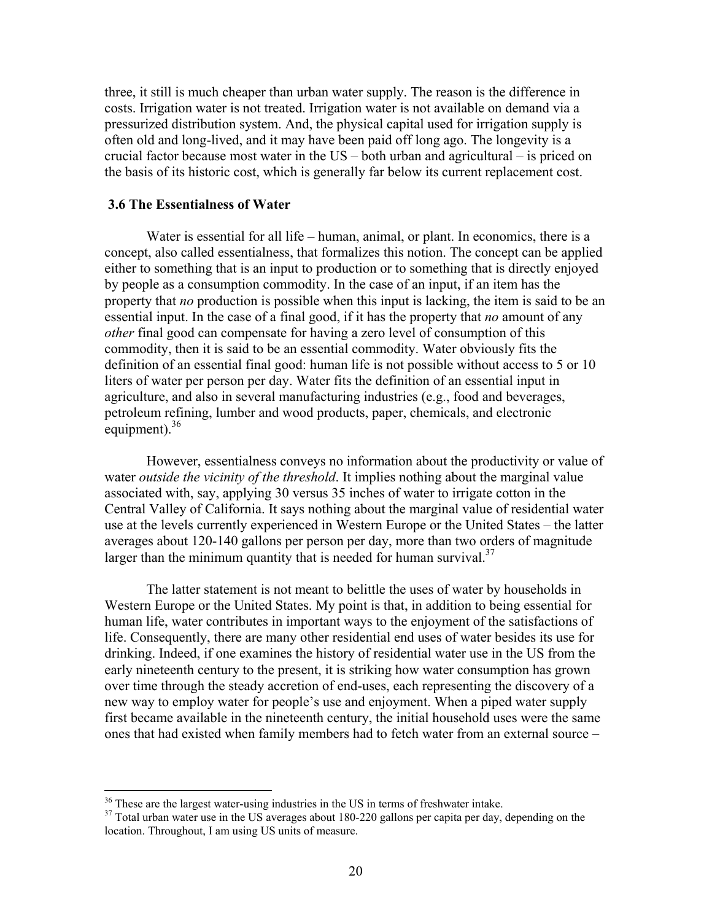three, it still is much cheaper than urban water supply. The reason is the difference in costs. Irrigation water is not treated. Irrigation water is not available on demand via a pressurized distribution system. And, the physical capital used for irrigation supply is often old and long-lived, and it may have been paid off long ago. The longevity is a crucial factor because most water in the US – both urban and agricultural – is priced on the basis of its historic cost, which is generally far below its current replacement cost.

#### **3.6 The Essentialness of Water**

Water is essential for all life – human, animal, or plant. In economics, there is a concept, also called essentialness, that formalizes this notion. The concept can be applied either to something that is an input to production or to something that is directly enjoyed by people as a consumption commodity. In the case of an input, if an item has the property that *no* production is possible when this input is lacking, the item is said to be an essential input. In the case of a final good, if it has the property that *no* amount of any *other* final good can compensate for having a zero level of consumption of this commodity, then it is said to be an essential commodity. Water obviously fits the definition of an essential final good: human life is not possible without access to 5 or 10 liters of water per person per day. Water fits the definition of an essential input in agriculture, and also in several manufacturing industries (e.g., food and beverages, petroleum refining, lumber and wood products, paper, chemicals, and electronic equipment). $36$ 

 However, essentialness conveys no information about the productivity or value of water *outside the vicinity of the threshold*. It implies nothing about the marginal value associated with, say, applying 30 versus 35 inches of water to irrigate cotton in the Central Valley of California. It says nothing about the marginal value of residential water use at the levels currently experienced in Western Europe or the United States – the latter averages about 120-140 gallons per person per day, more than two orders of magnitude larger than the minimum quantity that is needed for human survival.<sup>37</sup>

 The latter statement is not meant to belittle the uses of water by households in Western Europe or the United States. My point is that, in addition to being essential for human life, water contributes in important ways to the enjoyment of the satisfactions of life. Consequently, there are many other residential end uses of water besides its use for drinking. Indeed, if one examines the history of residential water use in the US from the early nineteenth century to the present, it is striking how water consumption has grown over time through the steady accretion of end-uses, each representing the discovery of a new way to employ water for people's use and enjoyment. When a piped water supply first became available in the nineteenth century, the initial household uses were the same ones that had existed when family members had to fetch water from an external source –

 $36$  These are the largest water-using industries in the US in terms of freshwater intake.<br><sup>37</sup> Total urban water use in the US averages about 180-220 gallons per capita per day, depending on the location. Throughout, I am using US units of measure.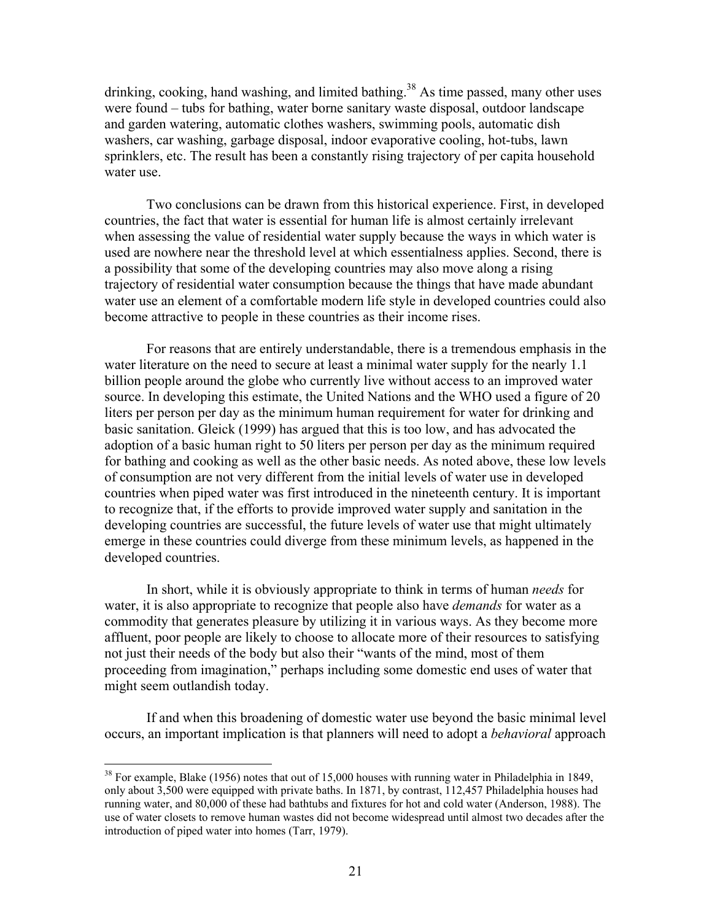drinking, cooking, hand washing, and limited bathing.<sup>38</sup> As time passed, many other uses were found – tubs for bathing, water borne sanitary waste disposal, outdoor landscape and garden watering, automatic clothes washers, swimming pools, automatic dish washers, car washing, garbage disposal, indoor evaporative cooling, hot-tubs, lawn sprinklers, etc. The result has been a constantly rising trajectory of per capita household water use.

 Two conclusions can be drawn from this historical experience. First, in developed countries, the fact that water is essential for human life is almost certainly irrelevant when assessing the value of residential water supply because the ways in which water is used are nowhere near the threshold level at which essentialness applies. Second, there is a possibility that some of the developing countries may also move along a rising trajectory of residential water consumption because the things that have made abundant water use an element of a comfortable modern life style in developed countries could also become attractive to people in these countries as their income rises.

For reasons that are entirely understandable, there is a tremendous emphasis in the water literature on the need to secure at least a minimal water supply for the nearly 1.1 billion people around the globe who currently live without access to an improved water source. In developing this estimate, the United Nations and the WHO used a figure of 20 liters per person per day as the minimum human requirement for water for drinking and basic sanitation. Gleick (1999) has argued that this is too low, and has advocated the adoption of a basic human right to 50 liters per person per day as the minimum required for bathing and cooking as well as the other basic needs. As noted above, these low levels of consumption are not very different from the initial levels of water use in developed countries when piped water was first introduced in the nineteenth century. It is important to recognize that, if the efforts to provide improved water supply and sanitation in the developing countries are successful, the future levels of water use that might ultimately emerge in these countries could diverge from these minimum levels, as happened in the developed countries.

In short, while it is obviously appropriate to think in terms of human *needs* for water, it is also appropriate to recognize that people also have *demands* for water as a commodity that generates pleasure by utilizing it in various ways. As they become more affluent, poor people are likely to choose to allocate more of their resources to satisfying not just their needs of the body but also their "wants of the mind, most of them proceeding from imagination," perhaps including some domestic end uses of water that might seem outlandish today.

If and when this broadening of domestic water use beyond the basic minimal level occurs, an important implication is that planners will need to adopt a *behavioral* approach

1

<sup>&</sup>lt;sup>38</sup> For example, Blake (1956) notes that out of 15,000 houses with running water in Philadelphia in 1849, only about 3,500 were equipped with private baths. In 1871, by contrast, 112,457 Philadelphia houses had running water, and 80,000 of these had bathtubs and fixtures for hot and cold water (Anderson, 1988). The use of water closets to remove human wastes did not become widespread until almost two decades after the introduction of piped water into homes (Tarr, 1979).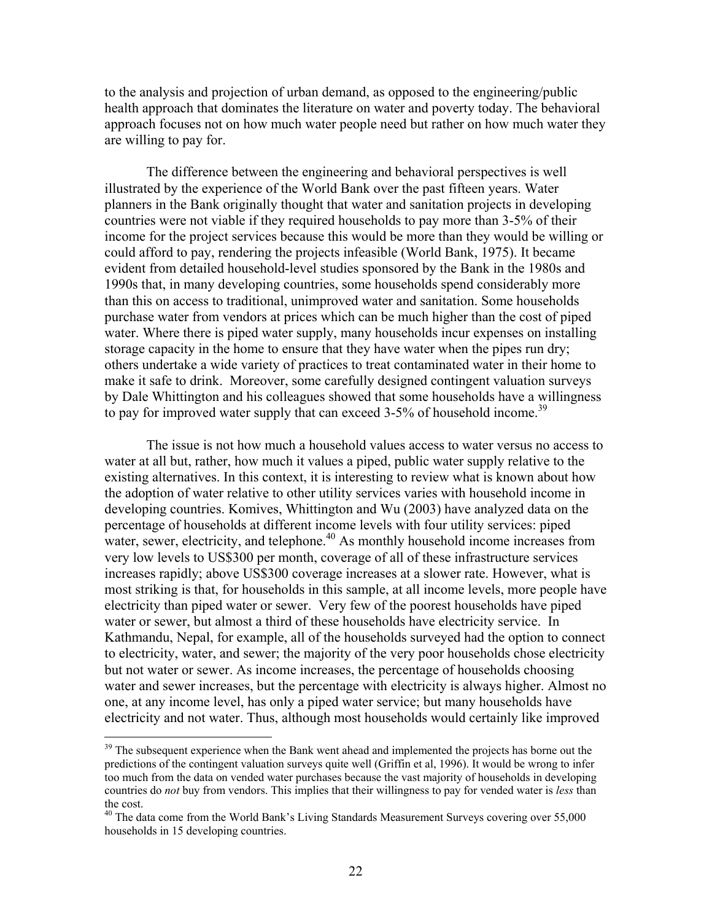to the analysis and projection of urban demand, as opposed to the engineering/public health approach that dominates the literature on water and poverty today. The behavioral approach focuses not on how much water people need but rather on how much water they are willing to pay for.

The difference between the engineering and behavioral perspectives is well illustrated by the experience of the World Bank over the past fifteen years. Water planners in the Bank originally thought that water and sanitation projects in developing countries were not viable if they required households to pay more than 3-5% of their income for the project services because this would be more than they would be willing or could afford to pay, rendering the projects infeasible (World Bank, 1975). It became evident from detailed household-level studies sponsored by the Bank in the 1980s and 1990s that, in many developing countries, some households spend considerably more than this on access to traditional, unimproved water and sanitation. Some households purchase water from vendors at prices which can be much higher than the cost of piped water. Where there is piped water supply, many households incur expenses on installing storage capacity in the home to ensure that they have water when the pipes run dry; others undertake a wide variety of practices to treat contaminated water in their home to make it safe to drink. Moreover, some carefully designed contingent valuation surveys by Dale Whittington and his colleagues showed that some households have a willingness to pay for improved water supply that can exceed  $3-5\%$  of household income.<sup>39</sup>

The issue is not how much a household values access to water versus no access to water at all but, rather, how much it values a piped, public water supply relative to the existing alternatives. In this context, it is interesting to review what is known about how the adoption of water relative to other utility services varies with household income in developing countries. Komives, Whittington and Wu (2003) have analyzed data on the percentage of households at different income levels with four utility services: piped water, sewer, electricity, and telephone.<sup>40</sup> As monthly household income increases from very low levels to US\$300 per month, coverage of all of these infrastructure services increases rapidly; above US\$300 coverage increases at a slower rate. However, what is most striking is that, for households in this sample, at all income levels, more people have electricity than piped water or sewer. Very few of the poorest households have piped water or sewer, but almost a third of these households have electricity service. In Kathmandu, Nepal, for example, all of the households surveyed had the option to connect to electricity, water, and sewer; the majority of the very poor households chose electricity but not water or sewer. As income increases, the percentage of households choosing water and sewer increases, but the percentage with electricity is always higher. Almost no one, at any income level, has only a piped water service; but many households have electricity and not water. Thus, although most households would certainly like improved

 $39$  The subsequent experience when the Bank went ahead and implemented the projects has borne out the predictions of the contingent valuation surveys quite well (Griffin et al, 1996). It would be wrong to infer too much from the data on vended water purchases because the vast majority of households in developing countries do *not* buy from vendors. This implies that their willingness to pay for vended water is *less* than the cost.

<sup>&</sup>lt;sup>40</sup> The data come from the World Bank's Living Standards Measurement Surveys covering over 55,000 households in 15 developing countries.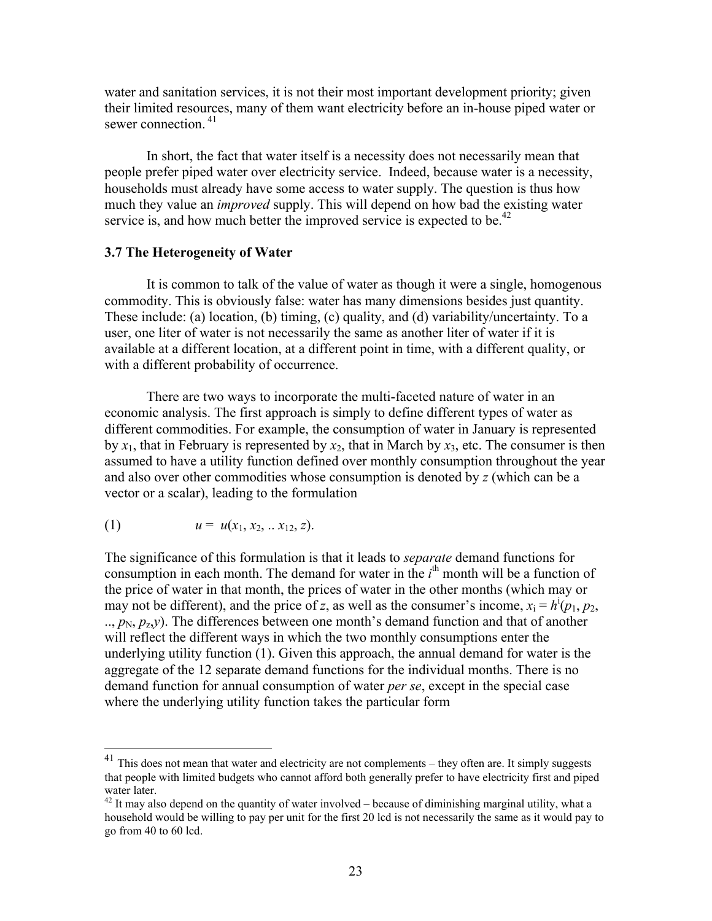water and sanitation services, it is not their most important development priority; given their limited resources, many of them want electricity before an in-house piped water or sewer connection.<sup>41</sup>

In short, the fact that water itself is a necessity does not necessarily mean that people prefer piped water over electricity service. Indeed, because water is a necessity, households must already have some access to water supply. The question is thus how much they value an *improved* supply. This will depend on how bad the existing water service is, and how much better the improved service is expected to be.<sup>42</sup>

#### **3.7 The Heterogeneity of Water**

It is common to talk of the value of water as though it were a single, homogenous commodity. This is obviously false: water has many dimensions besides just quantity. These include: (a) location, (b) timing, (c) quality, and (d) variability/uncertainty. To a user, one liter of water is not necessarily the same as another liter of water if it is available at a different location, at a different point in time, with a different quality, or with a different probability of occurrence.

There are two ways to incorporate the multi-faceted nature of water in an economic analysis. The first approach is simply to define different types of water as different commodities. For example, the consumption of water in January is represented by  $x_1$ , that in February is represented by  $x_2$ , that in March by  $x_3$ , etc. The consumer is then assumed to have a utility function defined over monthly consumption throughout the year and also over other commodities whose consumption is denoted by *z* (which can be a vector or a scalar), leading to the formulation

(1) 
$$
u = u(x_1, x_2, ... x_{12}, z).
$$

 $\overline{a}$ 

The significance of this formulation is that it leads to *separate* demand functions for consumption in each month. The demand for water in the  $i<sup>th</sup>$  month will be a function of the price of water in that month, the prices of water in the other months (which may or may not be different), and the price of *z*, as well as the consumer's income,  $x_i = h^i(p_1, p_2,$  $\ldots$ ,  $p_N$ ,  $p_z$ , $y$ ). The differences between one month's demand function and that of another will reflect the different ways in which the two monthly consumptions enter the underlying utility function (1). Given this approach, the annual demand for water is the aggregate of the 12 separate demand functions for the individual months. There is no demand function for annual consumption of water *per se*, except in the special case where the underlying utility function takes the particular form

 $41$  This does not mean that water and electricity are not complements – they often are. It simply suggests that people with limited budgets who cannot afford both generally prefer to have electricity first and piped water later.

 $42$  It may also depend on the quantity of water involved – because of diminishing marginal utility, what a household would be willing to pay per unit for the first 20 lcd is not necessarily the same as it would pay to go from 40 to 60 lcd.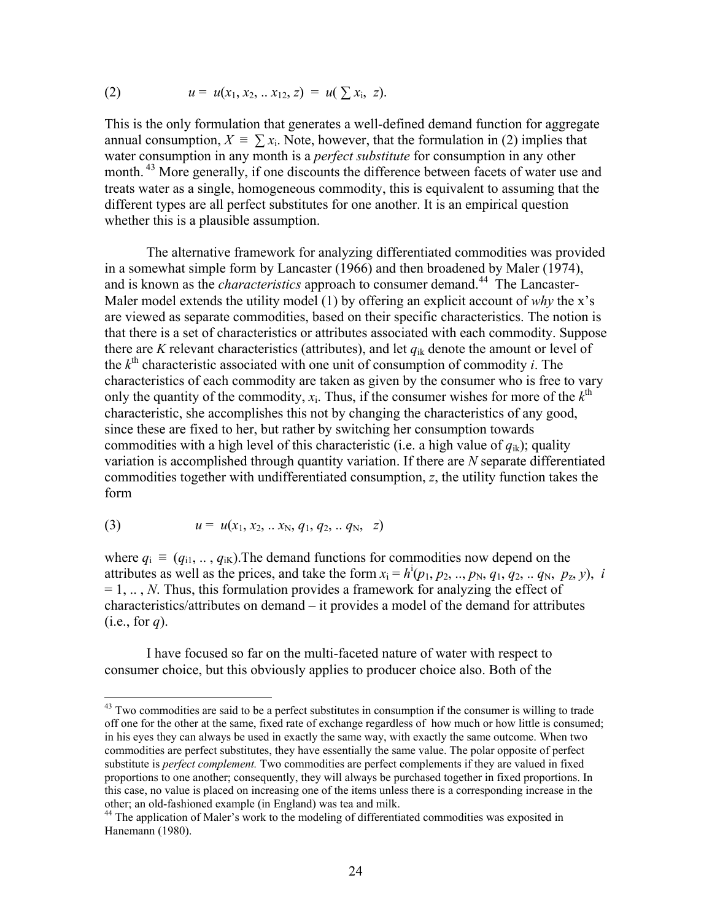(2) 
$$
u = u(x_1, x_2, ... x_{12}, z) = u(\sum x_i, z).
$$

This is the only formulation that generates a well-defined demand function for aggregate annual consumption,  $X \equiv \sum x_i$ . Note, however, that the formulation in (2) implies that water consumption in any month is a *perfect substitute* for consumption in any other month. <sup>43</sup> More generally, if one discounts the difference between facets of water use and treats water as a single, homogeneous commodity, this is equivalent to assuming that the different types are all perfect substitutes for one another. It is an empirical question whether this is a plausible assumption.

The alternative framework for analyzing differentiated commodities was provided in a somewhat simple form by Lancaster (1966) and then broadened by Maler (1974), and is known as the *characteristics* approach to consumer demand.<sup>44</sup> The Lancaster-Maler model extends the utility model (1) by offering an explicit account of *why* the x's are viewed as separate commodities, based on their specific characteristics. The notion is that there is a set of characteristics or attributes associated with each commodity. Suppose there are *K* relevant characteristics (attributes), and let *q*ik denote the amount or level of the  $k^{\text{th}}$  characteristic associated with one unit of consumption of commodity *i*. The characteristics of each commodity are taken as given by the consumer who is free to vary only the quantity of the commodity,  $x_i$ . Thus, if the consumer wishes for more of the  $k^{\text{th}}$ characteristic, she accomplishes this not by changing the characteristics of any good, since these are fixed to her, but rather by switching her consumption towards commodities with a high level of this characteristic (i.e. a high value of  $q_{ik}$ ); quality variation is accomplished through quantity variation. If there are *N* separate differentiated commodities together with undifferentiated consumption, *z*, the utility function takes the form

(3) 
$$
u = u(x_1, x_2, ... x_N, q_1, q_2, ... q_N, z)
$$

1

where  $q_i \equiv (q_{i1}, \ldots, q_{iK})$ . The demand functions for commodities now depend on the attributes as well as the prices, and take the form  $x_i = h^i(p_1, p_2, ..., p_N, q_1, q_2, ..., q_N, p_z, y)$ , *i*  $= 1, \ldots, N$ . Thus, this formulation provides a framework for analyzing the effect of characteristics/attributes on demand – it provides a model of the demand for attributes  $(i.e., for q)$ .

 I have focused so far on the multi-faceted nature of water with respect to consumer choice, but this obviously applies to producer choice also. Both of the

 $43$  Two commodities are said to be a perfect substitutes in consumption if the consumer is willing to trade off one for the other at the same, fixed rate of exchange regardless of how much or how little is consumed; in his eyes they can always be used in exactly the same way, with exactly the same outcome. When two commodities are perfect substitutes, they have essentially the same value. The polar opposite of perfect substitute is *perfect complement.* Two commodities are perfect complements if they are valued in fixed proportions to one another; consequently, they will always be purchased together in fixed proportions. In this case, no value is placed on increasing one of the items unless there is a corresponding increase in the other; an old-fashioned example (in England) was tea and milk.

<sup>&</sup>lt;sup>44</sup> The application of Maler's work to the modeling of differentiated commodities was exposited in Hanemann (1980).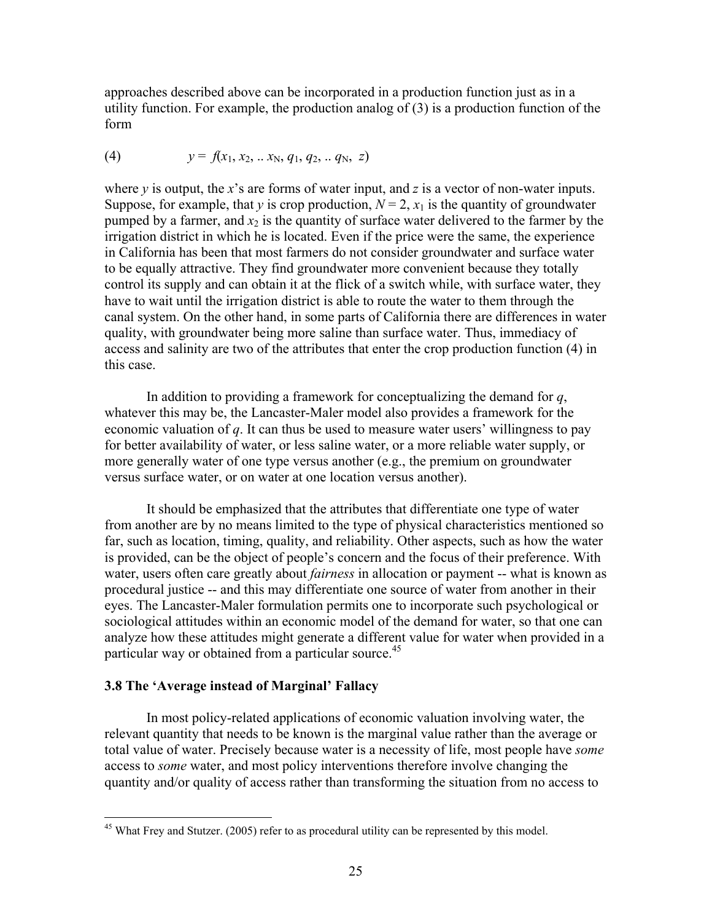approaches described above can be incorporated in a production function just as in a utility function. For example, the production analog of (3) is a production function of the form

(4) 
$$
y = f(x_1, x_2, \ldots x_N, q_1, q_2, \ldots q_N, z)
$$

where  $\nu$  is output, the *x*'s are forms of water input, and *z* is a vector of non-water inputs. Suppose, for example, that *y* is crop production,  $N = 2$ ,  $x_1$  is the quantity of groundwater pumped by a farmer, and  $x_2$  is the quantity of surface water delivered to the farmer by the irrigation district in which he is located. Even if the price were the same, the experience in California has been that most farmers do not consider groundwater and surface water to be equally attractive. They find groundwater more convenient because they totally control its supply and can obtain it at the flick of a switch while, with surface water, they have to wait until the irrigation district is able to route the water to them through the canal system. On the other hand, in some parts of California there are differences in water quality, with groundwater being more saline than surface water. Thus, immediacy of access and salinity are two of the attributes that enter the crop production function (4) in this case.

 In addition to providing a framework for conceptualizing the demand for *q*, whatever this may be, the Lancaster-Maler model also provides a framework for the economic valuation of *q*. It can thus be used to measure water users' willingness to pay for better availability of water, or less saline water, or a more reliable water supply, or more generally water of one type versus another (e.g., the premium on groundwater versus surface water, or on water at one location versus another).

 It should be emphasized that the attributes that differentiate one type of water from another are by no means limited to the type of physical characteristics mentioned so far, such as location, timing, quality, and reliability. Other aspects, such as how the water is provided, can be the object of people's concern and the focus of their preference. With water, users often care greatly about *fairness* in allocation or payment -- what is known as procedural justice -- and this may differentiate one source of water from another in their eyes. The Lancaster-Maler formulation permits one to incorporate such psychological or sociological attitudes within an economic model of the demand for water, so that one can analyze how these attitudes might generate a different value for water when provided in a particular way or obtained from a particular source.<sup>45</sup>

## **3.8 The 'Average instead of Marginal' Fallacy**

<u>.</u>

 In most policy-related applications of economic valuation involving water, the relevant quantity that needs to be known is the marginal value rather than the average or total value of water. Precisely because water is a necessity of life, most people have *some* access to *some* water, and most policy interventions therefore involve changing the quantity and/or quality of access rather than transforming the situation from no access to

 $45$  What Frey and Stutzer. (2005) refer to as procedural utility can be represented by this model.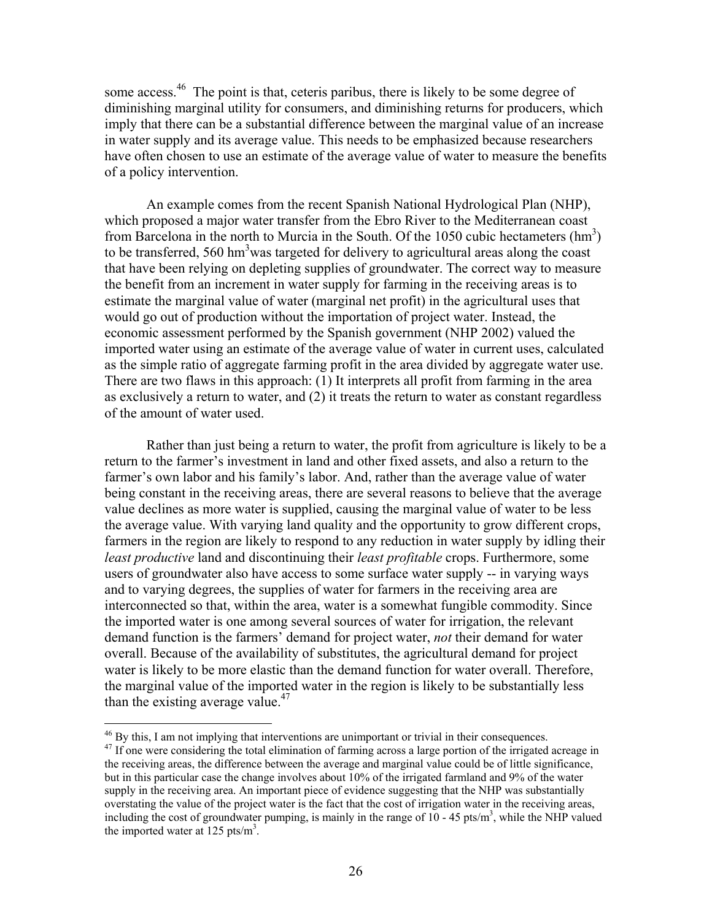some access.<sup>46</sup> The point is that, ceteris paribus, there is likely to be some degree of diminishing marginal utility for consumers, and diminishing returns for producers, which imply that there can be a substantial difference between the marginal value of an increase in water supply and its average value. This needs to be emphasized because researchers have often chosen to use an estimate of the average value of water to measure the benefits of a policy intervention.

An example comes from the recent Spanish National Hydrological Plan (NHP), which proposed a major water transfer from the Ebro River to the Mediterranean coast from Barcelona in the north to Murcia in the South. Of the 1050 cubic hectameters  $(hm^3)$ to be transferred, 560 hm<sup>3</sup> was targeted for delivery to agricultural areas along the coast that have been relying on depleting supplies of groundwater. The correct way to measure the benefit from an increment in water supply for farming in the receiving areas is to estimate the marginal value of water (marginal net profit) in the agricultural uses that would go out of production without the importation of project water. Instead, the economic assessment performed by the Spanish government (NHP 2002) valued the imported water using an estimate of the average value of water in current uses, calculated as the simple ratio of aggregate farming profit in the area divided by aggregate water use. There are two flaws in this approach: (1) It interprets all profit from farming in the area as exclusively a return to water, and (2) it treats the return to water as constant regardless of the amount of water used.

Rather than just being a return to water, the profit from agriculture is likely to be a return to the farmer's investment in land and other fixed assets, and also a return to the farmer's own labor and his family's labor. And, rather than the average value of water being constant in the receiving areas, there are several reasons to believe that the average value declines as more water is supplied, causing the marginal value of water to be less the average value. With varying land quality and the opportunity to grow different crops, farmers in the region are likely to respond to any reduction in water supply by idling their *least productive* land and discontinuing their *least profitable* crops. Furthermore, some users of groundwater also have access to some surface water supply -- in varying ways and to varying degrees, the supplies of water for farmers in the receiving area are interconnected so that, within the area, water is a somewhat fungible commodity. Since the imported water is one among several sources of water for irrigation, the relevant demand function is the farmers' demand for project water, *not* their demand for water overall. Because of the availability of substitutes, the agricultural demand for project water is likely to be more elastic than the demand function for water overall. Therefore, the marginal value of the imported water in the region is likely to be substantially less than the existing average value. $47$ 

<sup>&</sup>lt;sup>46</sup> By this, I am not implying that interventions are unimportant or trivial in their consequences.

<sup>&</sup>lt;sup>47</sup> If one were considering the total elimination of farming across a large portion of the irrigated acreage in the receiving areas, the difference between the average and marginal value could be of little significance, but in this particular case the change involves about 10% of the irrigated farmland and 9% of the water supply in the receiving area. An important piece of evidence suggesting that the NHP was substantially overstating the value of the project water is the fact that the cost of irrigation water in the receiving areas, including the cost of groundwater pumping, is mainly in the range of  $10 - 45$  pts/m<sup>3</sup>, while the NHP valued the imported water at  $125 \text{ pts/m}^3$ .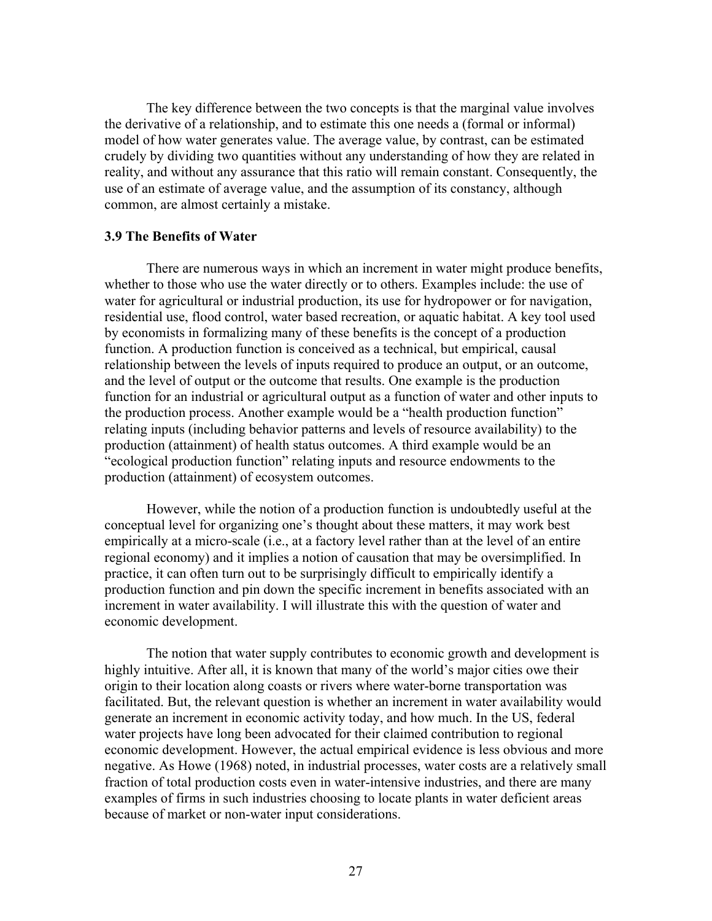The key difference between the two concepts is that the marginal value involves the derivative of a relationship, and to estimate this one needs a (formal or informal) model of how water generates value. The average value, by contrast, can be estimated crudely by dividing two quantities without any understanding of how they are related in reality, and without any assurance that this ratio will remain constant. Consequently, the use of an estimate of average value, and the assumption of its constancy, although common, are almost certainly a mistake.

#### **3.9 The Benefits of Water**

 There are numerous ways in which an increment in water might produce benefits, whether to those who use the water directly or to others. Examples include: the use of water for agricultural or industrial production, its use for hydropower or for navigation, residential use, flood control, water based recreation, or aquatic habitat. A key tool used by economists in formalizing many of these benefits is the concept of a production function. A production function is conceived as a technical, but empirical, causal relationship between the levels of inputs required to produce an output, or an outcome, and the level of output or the outcome that results. One example is the production function for an industrial or agricultural output as a function of water and other inputs to the production process. Another example would be a "health production function" relating inputs (including behavior patterns and levels of resource availability) to the production (attainment) of health status outcomes. A third example would be an "ecological production function" relating inputs and resource endowments to the production (attainment) of ecosystem outcomes.

However, while the notion of a production function is undoubtedly useful at the conceptual level for organizing one's thought about these matters, it may work best empirically at a micro-scale (i.e., at a factory level rather than at the level of an entire regional economy) and it implies a notion of causation that may be oversimplified. In practice, it can often turn out to be surprisingly difficult to empirically identify a production function and pin down the specific increment in benefits associated with an increment in water availability. I will illustrate this with the question of water and economic development.

The notion that water supply contributes to economic growth and development is highly intuitive. After all, it is known that many of the world's major cities owe their origin to their location along coasts or rivers where water-borne transportation was facilitated. But, the relevant question is whether an increment in water availability would generate an increment in economic activity today, and how much. In the US, federal water projects have long been advocated for their claimed contribution to regional economic development. However, the actual empirical evidence is less obvious and more negative. As Howe (1968) noted, in industrial processes, water costs are a relatively small fraction of total production costs even in water-intensive industries, and there are many examples of firms in such industries choosing to locate plants in water deficient areas because of market or non-water input considerations.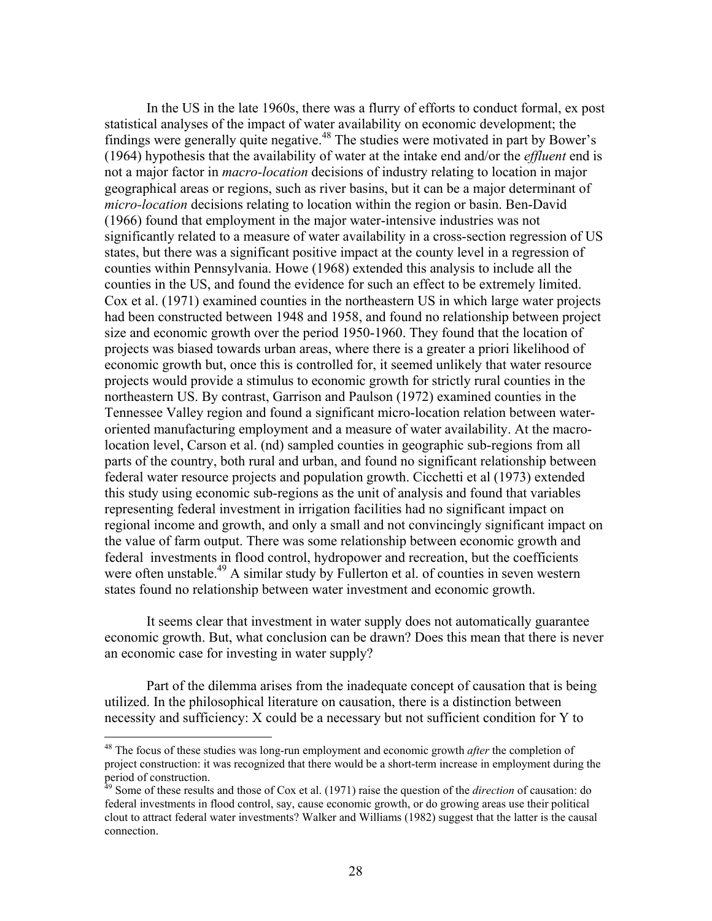In the US in the late 1960s, there was a flurry of efforts to conduct formal, ex post statistical analyses of the impact of water availability on economic development; the findings were generally quite negative.<sup>48</sup> The studies were motivated in part by Bower's (1964) hypothesis that the availability of water at the intake end and/or the *effluent* end is not a major factor in *macro-location* decisions of industry relating to location in major geographical areas or regions, such as river basins, but it can be a major determinant of *micro-location* decisions relating to location within the region or basin. Ben-David (1966) found that employment in the major water-intensive industries was not significantly related to a measure of water availability in a cross-section regression of US states, but there was a significant positive impact at the county level in a regression of counties within Pennsylvania. Howe (1968) extended this analysis to include all the counties in the US, and found the evidence for such an effect to be extremely limited. Cox et al. (1971) examined counties in the northeastern US in which large water projects had been constructed between 1948 and 1958, and found no relationship between project size and economic growth over the period 1950-1960. They found that the location of projects was biased towards urban areas, where there is a greater a priori likelihood of economic growth but, once this is controlled for, it seemed unlikely that water resource projects would provide a stimulus to economic growth for strictly rural counties in the northeastern US. By contrast, Garrison and Paulson (1972) examined counties in the Tennessee Valley region and found a significant micro-location relation between wateroriented manufacturing employment and a measure of water availability. At the macrolocation level, Carson et al. (nd) sampled counties in geographic sub-regions from all parts of the country, both rural and urban, and found no significant relationship between federal water resource projects and population growth. Cicchetti et al (1973) extended this study using economic sub-regions as the unit of analysis and found that variables representing federal investment in irrigation facilities had no significant impact on regional income and growth, and only a small and not convincingly significant impact on the value of farm output. There was some relationship between economic growth and federal investments in flood control, hydropower and recreation, but the coefficients were often unstable.<sup>49</sup> A similar study by Fullerton et al. of counties in seven western states found no relationship between water investment and economic growth.

It seems clear that investment in water supply does not automatically guarantee economic growth. But, what conclusion can be drawn? Does this mean that there is never an economic case for investing in water supply?

Part of the dilemma arises from the inadequate concept of causation that is being utilized. In the philosophical literature on causation, there is a distinction between necessity and sufficiency: X could be a necessary but not sufficient condition for Y to

<sup>48</sup> The focus of these studies was long-run employment and economic growth *after* the completion of project construction: it was recognized that there would be a short-term increase in employment during the period of construction.

<sup>&</sup>lt;sup>49</sup> Some of these results and those of Cox et al. (1971) raise the question of the *direction* of causation: do federal investments in flood control, say, cause economic growth, or do growing areas use their political clout to attract federal water investments? Walker and Williams (1982) suggest that the latter is the causal connection.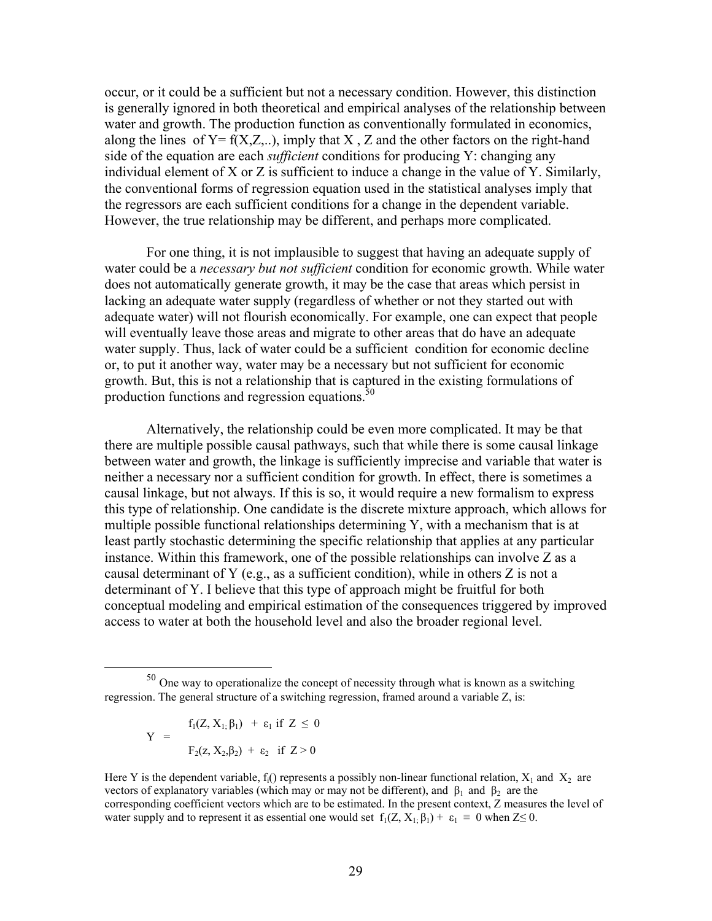occur, or it could be a sufficient but not a necessary condition. However, this distinction is generally ignored in both theoretical and empirical analyses of the relationship between water and growth. The production function as conventionally formulated in economics, along the lines of  $Y = f(X,Z, ...)$ , imply that X, Z and the other factors on the right-hand side of the equation are each *sufficient* conditions for producing Y: changing any individual element of X or Z is sufficient to induce a change in the value of Y. Similarly, the conventional forms of regression equation used in the statistical analyses imply that the regressors are each sufficient conditions for a change in the dependent variable. However, the true relationship may be different, and perhaps more complicated.

For one thing, it is not implausible to suggest that having an adequate supply of water could be a *necessary but not sufficient* condition for economic growth. While water does not automatically generate growth, it may be the case that areas which persist in lacking an adequate water supply (regardless of whether or not they started out with adequate water) will not flourish economically. For example, one can expect that people will eventually leave those areas and migrate to other areas that do have an adequate water supply. Thus, lack of water could be a sufficient condition for economic decline or, to put it another way, water may be a necessary but not sufficient for economic growth. But, this is not a relationship that is captured in the existing formulations of production functions and regression equations.<sup>50</sup>

Alternatively, the relationship could be even more complicated. It may be that there are multiple possible causal pathways, such that while there is some causal linkage between water and growth, the linkage is sufficiently imprecise and variable that water is neither a necessary nor a sufficient condition for growth. In effect, there is sometimes a causal linkage, but not always. If this is so, it would require a new formalism to express this type of relationship. One candidate is the discrete mixture approach, which allows for multiple possible functional relationships determining Y, with a mechanism that is at least partly stochastic determining the specific relationship that applies at any particular instance. Within this framework, one of the possible relationships can involve Z as a causal determinant of Y (e.g., as a sufficient condition), while in others Z is not a determinant of Y. I believe that this type of approach might be fruitful for both conceptual modeling and empirical estimation of the consequences triggered by improved access to water at both the household level and also the broader regional level.

$$
Y = \frac{f_1(Z, X_1, \beta_1) + \epsilon_1 \text{ if } Z \leq 0}{F_2(z, X_2, \beta_2) + \epsilon_2 \text{ if } Z > 0}
$$

 $50$  One way to operationalize the concept of necessity through what is known as a switching regression. The general structure of a switching regression, framed around a variable Z, is:

Here Y is the dependent variable,  $f_i()$  represents a possibly non-linear functional relation,  $X_1$  and  $X_2$  are vectors of explanatory variables (which may or may not be different), and  $\beta_1$  and  $\beta_2$  are the corresponding coefficient vectors which are to be estimated. In the present context, Z measures the level of water supply and to represent it as essential one would set  $f_1(Z, X_1; \beta_1) + \varepsilon_1 \equiv 0$  when  $Z \le 0$ .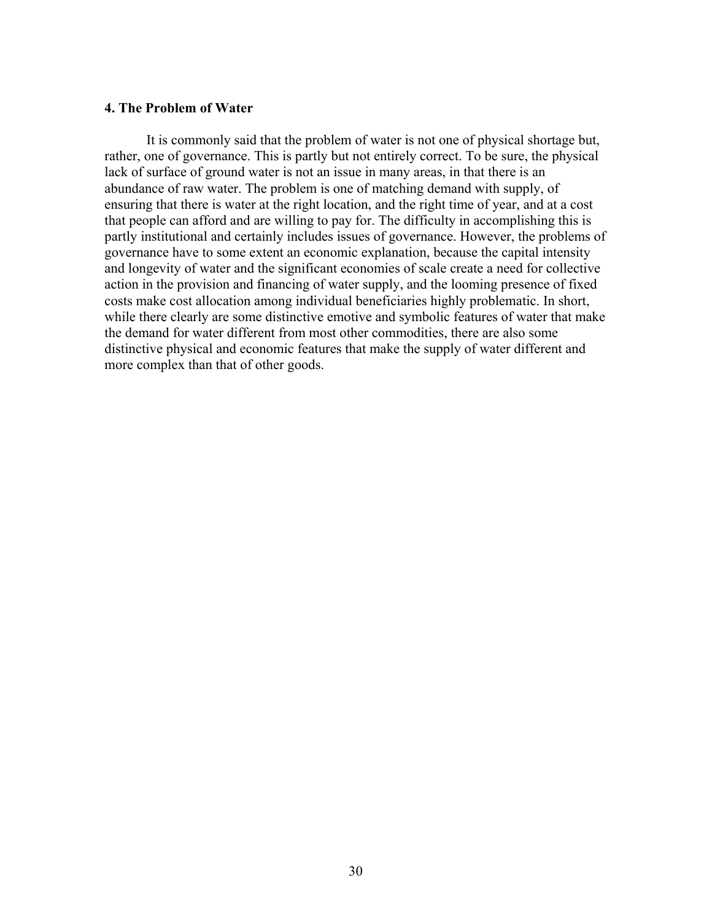#### **4. The Problem of Water**

 It is commonly said that the problem of water is not one of physical shortage but, rather, one of governance. This is partly but not entirely correct. To be sure, the physical lack of surface of ground water is not an issue in many areas, in that there is an abundance of raw water. The problem is one of matching demand with supply, of ensuring that there is water at the right location, and the right time of year, and at a cost that people can afford and are willing to pay for. The difficulty in accomplishing this is partly institutional and certainly includes issues of governance. However, the problems of governance have to some extent an economic explanation, because the capital intensity and longevity of water and the significant economies of scale create a need for collective action in the provision and financing of water supply, and the looming presence of fixed costs make cost allocation among individual beneficiaries highly problematic. In short, while there clearly are some distinctive emotive and symbolic features of water that make the demand for water different from most other commodities, there are also some distinctive physical and economic features that make the supply of water different and more complex than that of other goods.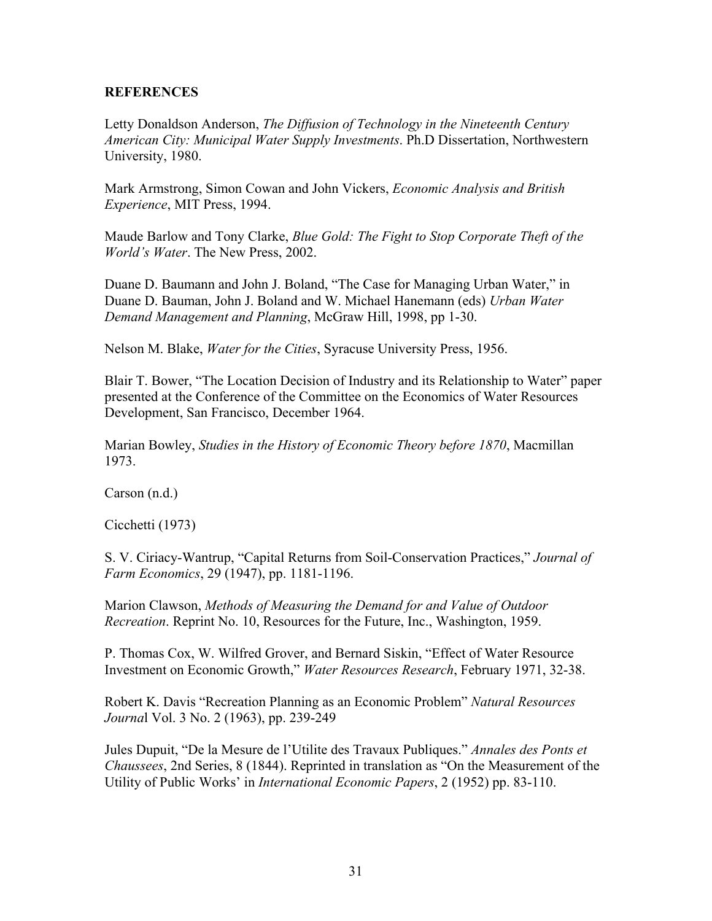### **REFERENCES**

Letty Donaldson Anderson, *The Diffusion of Technology in the Nineteenth Century American City: Municipal Water Supply Investments*. Ph.D Dissertation, Northwestern University, 1980.

Mark Armstrong, Simon Cowan and John Vickers, *Economic Analysis and British Experience*, MIT Press, 1994.

Maude Barlow and Tony Clarke, *Blue Gold: The Fight to Stop Corporate Theft of the World's Water*. The New Press, 2002.

Duane D. Baumann and John J. Boland, "The Case for Managing Urban Water," in Duane D. Bauman, John J. Boland and W. Michael Hanemann (eds) *Urban Water Demand Management and Planning*, McGraw Hill, 1998, pp 1-30.

Nelson M. Blake, *Water for the Cities*, Syracuse University Press, 1956.

Blair T. Bower, "The Location Decision of Industry and its Relationship to Water" paper presented at the Conference of the Committee on the Economics of Water Resources Development, San Francisco, December 1964.

Marian Bowley, *Studies in the History of Economic Theory before 1870*, Macmillan 1973.

Carson (n.d.)

Cicchetti (1973)

S. V. Ciriacy-Wantrup, "Capital Returns from Soil-Conservation Practices," *Journal of Farm Economics*, 29 (1947), pp. 1181-1196.

Marion Clawson, *Methods of Measuring the Demand for and Value of Outdoor Recreation*. Reprint No. 10, Resources for the Future, Inc., Washington, 1959.

P. Thomas Cox, W. Wilfred Grover, and Bernard Siskin, "Effect of Water Resource Investment on Economic Growth," *Water Resources Research*, February 1971, 32-38.

Robert K. Davis "Recreation Planning as an Economic Problem" *Natural Resources Journa*l Vol. 3 No. 2 (1963), pp. 239-249

Jules Dupuit, "De la Mesure de l'Utilite des Travaux Publiques." *Annales des Ponts et Chaussees*, 2nd Series, 8 (1844). Reprinted in translation as "On the Measurement of the Utility of Public Works' in *International Economic Papers*, 2 (1952) pp. 83-110.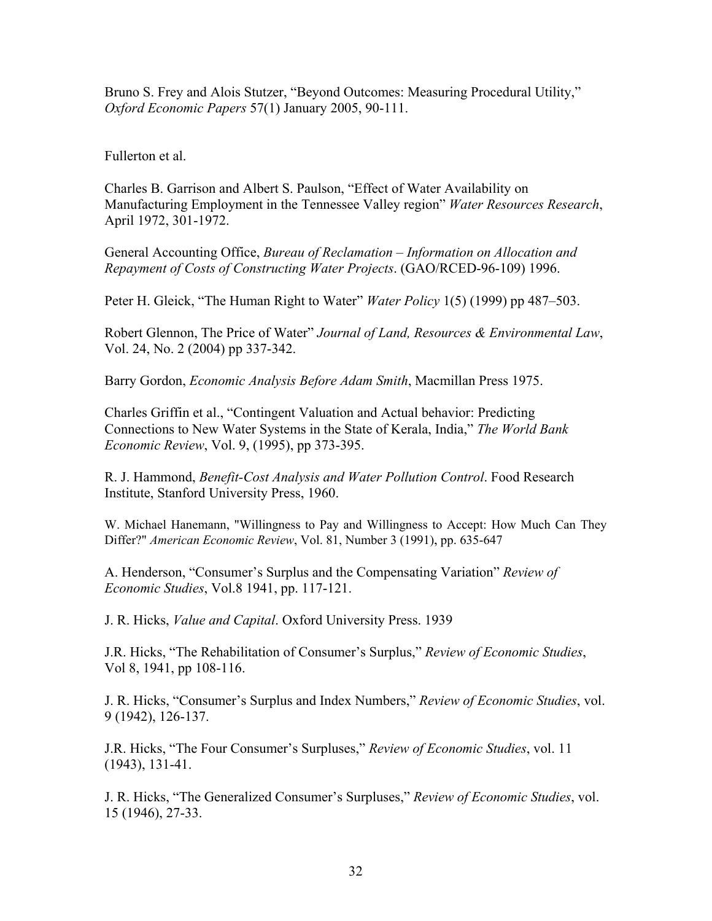Bruno S. Frey and Alois Stutzer, "Beyond Outcomes: Measuring Procedural Utility," *Oxford Economic Papers* 57(1) January 2005, 90-111.

Fullerton et al.

Charles B. Garrison and Albert S. Paulson, "Effect of Water Availability on Manufacturing Employment in the Tennessee Valley region" *Water Resources Research*, April 1972, 301-1972.

General Accounting Office, *Bureau of Reclamation – Information on Allocation and Repayment of Costs of Constructing Water Projects*. (GAO/RCED-96-109) 1996.

Peter H. Gleick, "The Human Right to Water" *Water Policy* 1(5) (1999) pp 487–503.

Robert Glennon, The Price of Water" *Journal of Land, Resources & Environmental Law*, Vol. 24, No. 2 (2004) pp 337-342.

Barry Gordon, *Economic Analysis Before Adam Smith*, Macmillan Press 1975.

Charles Griffin et al., "Contingent Valuation and Actual behavior: Predicting Connections to New Water Systems in the State of Kerala, India," *The World Bank Economic Review*, Vol. 9, (1995), pp 373-395.

R. J. Hammond, *Benefit-Cost Analysis and Water Pollution Control*. Food Research Institute, Stanford University Press, 1960.

W. Michael Hanemann, "Willingness to Pay and Willingness to Accept: How Much Can They Differ?" *American Economic Review*, Vol. 81, Number 3 (1991), pp. 635-647

A. Henderson, "Consumer's Surplus and the Compensating Variation" *Review of Economic Studies*, Vol.8 1941, pp. 117-121.

J. R. Hicks, *Value and Capital*. Oxford University Press. 1939

J.R. Hicks, "The Rehabilitation of Consumer's Surplus," *Review of Economic Studies*, Vol 8, 1941, pp 108-116.

J. R. Hicks, "Consumer's Surplus and Index Numbers," *Review of Economic Studies*, vol. 9 (1942), 126-137.

J.R. Hicks, "The Four Consumer's Surpluses," *Review of Economic Studies*, vol. 11 (1943), 131-41.

J. R. Hicks, "The Generalized Consumer's Surpluses," *Review of Economic Studies*, vol. 15 (1946), 27-33.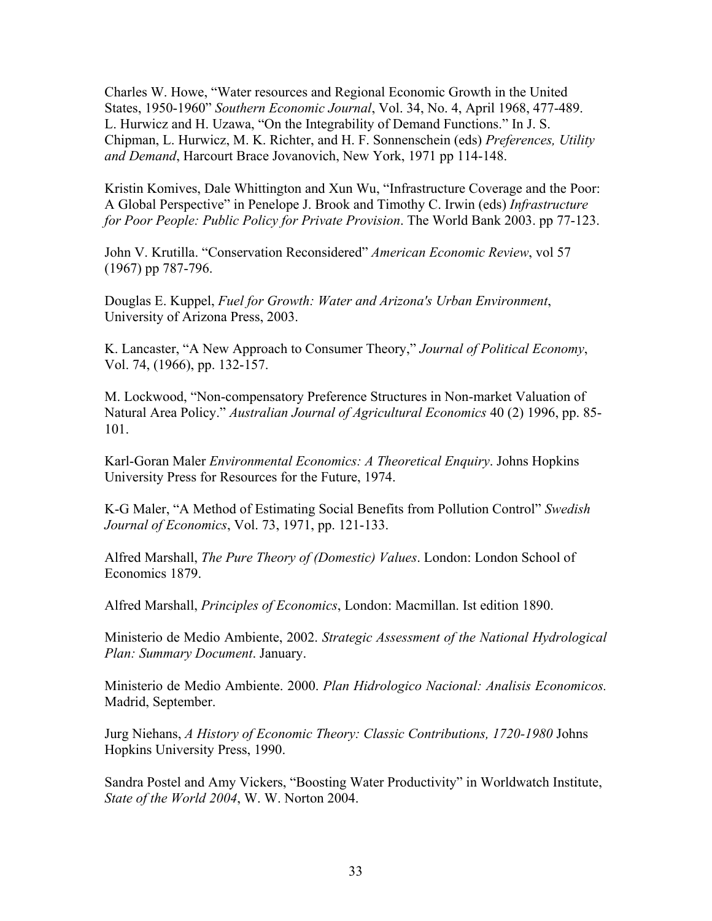Charles W. Howe, "Water resources and Regional Economic Growth in the United States, 1950-1960" *Southern Economic Journal*, Vol. 34, No. 4, April 1968, 477-489. L. Hurwicz and H. Uzawa, "On the Integrability of Demand Functions." In J. S. Chipman, L. Hurwicz, M. K. Richter, and H. F. Sonnenschein (eds) *Preferences, Utility and Demand*, Harcourt Brace Jovanovich, New York, 1971 pp 114-148.

Kristin Komives, Dale Whittington and Xun Wu, "Infrastructure Coverage and the Poor: A Global Perspective" in Penelope J. Brook and Timothy C. Irwin (eds) *Infrastructure for Poor People: Public Policy for Private Provision*. The World Bank 2003. pp 77-123.

John V. Krutilla. "Conservation Reconsidered" *American Economic Review*, vol 57 (1967) pp 787-796.

Douglas E. Kuppel, *Fuel for Growth: Water and Arizona's Urban Environment*, University of Arizona Press, 2003.

K. Lancaster, "A New Approach to Consumer Theory," *Journal of Political Economy*, Vol. 74, (1966), pp. 132-157.

M. Lockwood, "Non-compensatory Preference Structures in Non-market Valuation of Natural Area Policy." *Australian Journal of Agricultural Economics* 40 (2) 1996, pp. 85- 101.

Karl-Goran Maler *Environmental Economics: A Theoretical Enquiry*. Johns Hopkins University Press for Resources for the Future, 1974.

K-G Maler, "A Method of Estimating Social Benefits from Pollution Control" *Swedish Journal of Economics*, Vol. 73, 1971, pp. 121-133.

Alfred Marshall, *The Pure Theory of (Domestic) Values*. London: London School of Economics 1879.

Alfred Marshall, *Principles of Economics*, London: Macmillan. Ist edition 1890.

Ministerio de Medio Ambiente, 2002. *Strategic Assessment of the National Hydrological Plan: Summary Document*. January.

Ministerio de Medio Ambiente. 2000. *Plan Hidrologico Nacional: Analisis Economicos.* Madrid, September.

Jurg Niehans, *A History of Economic Theory: Classic Contributions, 1720-1980* Johns Hopkins University Press, 1990.

Sandra Postel and Amy Vickers, "Boosting Water Productivity" in Worldwatch Institute, *State of the World 2004*, W. W. Norton 2004.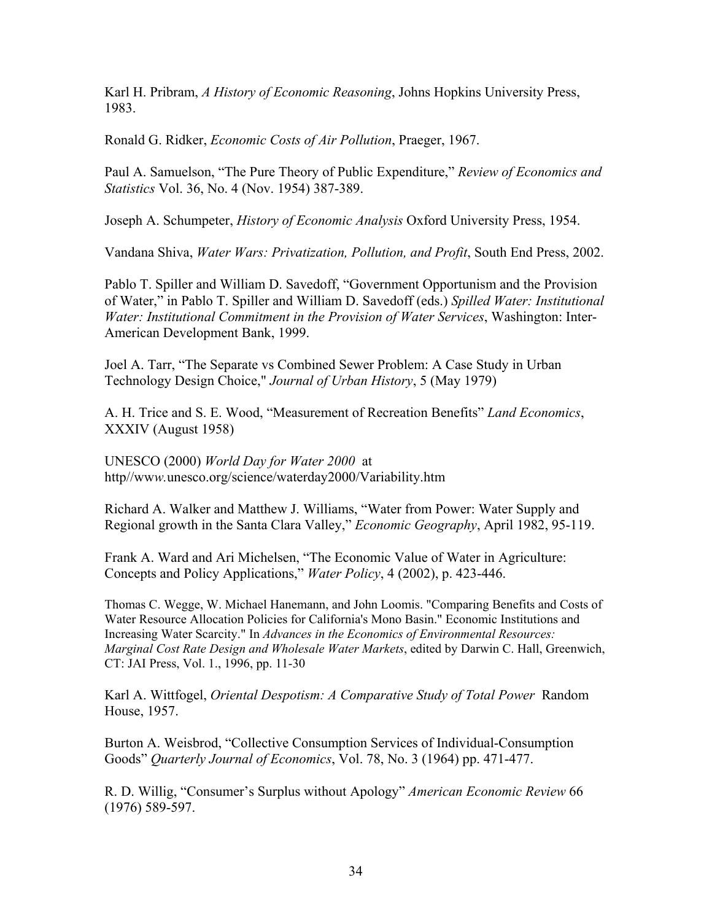Karl H. Pribram, *A History of Economic Reasoning*, Johns Hopkins University Press, 1983.

Ronald G. Ridker, *Economic Costs of Air Pollution*, Praeger, 1967.

Paul A. Samuelson, "The Pure Theory of Public Expenditure," *Review of Economics and Statistics* Vol. 36, No. 4 (Nov. 1954) 387-389.

Joseph A. Schumpeter, *History of Economic Analysis* Oxford University Press, 1954.

Vandana Shiva, *Water Wars: Privatization, Pollution, and Profit*, South End Press, 2002.

Pablo T. Spiller and William D. Savedoff, "Government Opportunism and the Provision of Water," in Pablo T. Spiller and William D. Savedoff (eds.) *Spilled Water: Institutional Water: Institutional Commitment in the Provision of Water Services*, Washington: Inter-American Development Bank, 1999.

Joel A. Tarr, "The Separate vs Combined Sewer Problem: A Case Study in Urban Technology Design Choice," *Journal of Urban History*, 5 (May 1979)

A. H. Trice and S. E. Wood, "Measurement of Recreation Benefits" *Land Economics*, XXXIV (August 1958)

UNESCO (2000) *World Day for Water 2000* at http//ww*w.*unesco.org/science/waterday2000/Variability.htm

Richard A. Walker and Matthew J. Williams, "Water from Power: Water Supply and Regional growth in the Santa Clara Valley," *Economic Geography*, April 1982, 95-119.

Frank A. Ward and Ari Michelsen, "The Economic Value of Water in Agriculture: Concepts and Policy Applications," *Water Policy*, 4 (2002), p. 423-446.

Thomas C. Wegge, W. Michael Hanemann, and John Loomis. "Comparing Benefits and Costs of Water Resource Allocation Policies for California's Mono Basin." Economic Institutions and Increasing Water Scarcity." In *Advances in the Economics of Environmental Resources: Marginal Cost Rate Design and Wholesale Water Markets*, edited by Darwin C. Hall, Greenwich, CT: JAI Press, Vol. 1., 1996, pp. 11-30

Karl A. Wittfogel, *Oriental Despotism: A Comparative Study of Total Power* Random House, 1957.

Burton A. Weisbrod, "Collective Consumption Services of Individual-Consumption Goods" *Quarterly Journal of Economics*, Vol. 78, No. 3 (1964) pp. 471-477.

R. D. Willig, "Consumer's Surplus without Apology" *American Economic Review* 66 (1976) 589-597.